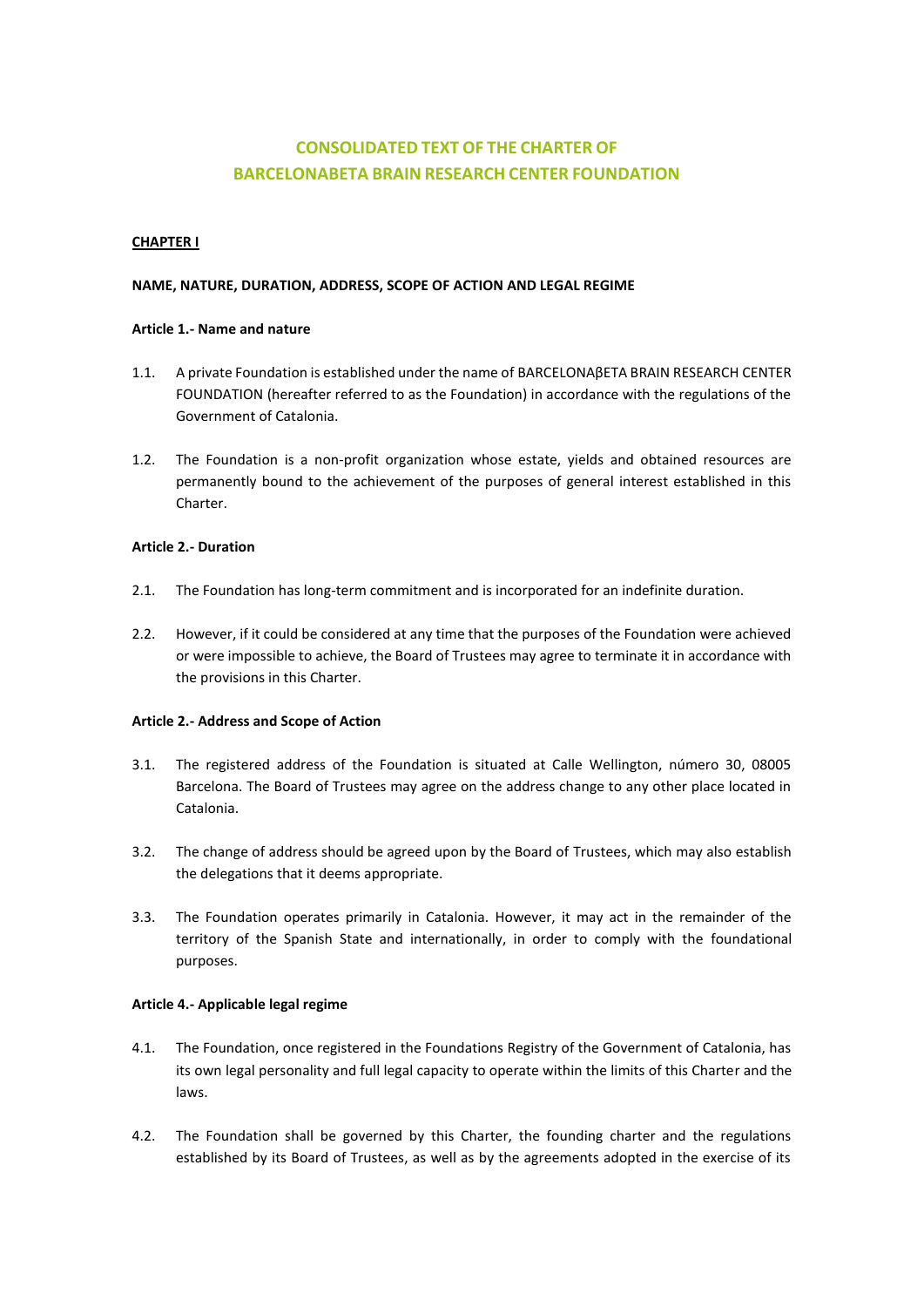# **CONSOLIDATED TEXT OF THE CHARTER OF BARCELONABETA BRAIN RESEARCH CENTER FOUNDATION**

# **CHAPTER I**

# **NAME, NATURE, DURATION, ADDRESS, SCOPE OF ACTION AND LEGAL REGIME**

# **Article 1.- Name and nature**

- 1.1. A private Foundation is established under the name of BARCELONAβETA BRAIN RESEARCH CENTER FOUNDATION (hereafter referred to as the Foundation) in accordance with the regulations of the Government of Catalonia.
- 1.2. The Foundation is a non-profit organization whose estate, yields and obtained resources are permanently bound to the achievement of the purposes of general interest established in this Charter.

# **Article 2.- Duration**

- 2.1. The Foundation has long-term commitment and is incorporated for an indefinite duration.
- 2.2. However, if it could be considered at any time that the purposes of the Foundation were achieved or were impossible to achieve, the Board of Trustees may agree to terminate it in accordance with the provisions in this Charter.

# **Article 2.- Address and Scope of Action**

- 3.1. The registered address of the Foundation is situated at Calle Wellington, número 30, 08005 Barcelona. The Board of Trustees may agree on the address change to any other place located in Catalonia.
- 3.2. The change of address should be agreed upon by the Board of Trustees, which may also establish the delegations that it deems appropriate.
- 3.3. The Foundation operates primarily in Catalonia. However, it may act in the remainder of the territory of the Spanish State and internationally, in order to comply with the foundational purposes.

# **Article 4.- Applicable legal regime**

- 4.1. The Foundation, once registered in the Foundations Registry of the Government of Catalonia, has its own legal personality and full legal capacity to operate within the limits of this Charter and the laws.
- 4.2. The Foundation shall be governed by this Charter, the founding charter and the regulations established by its Board of Trustees, as well as by the agreements adopted in the exercise of its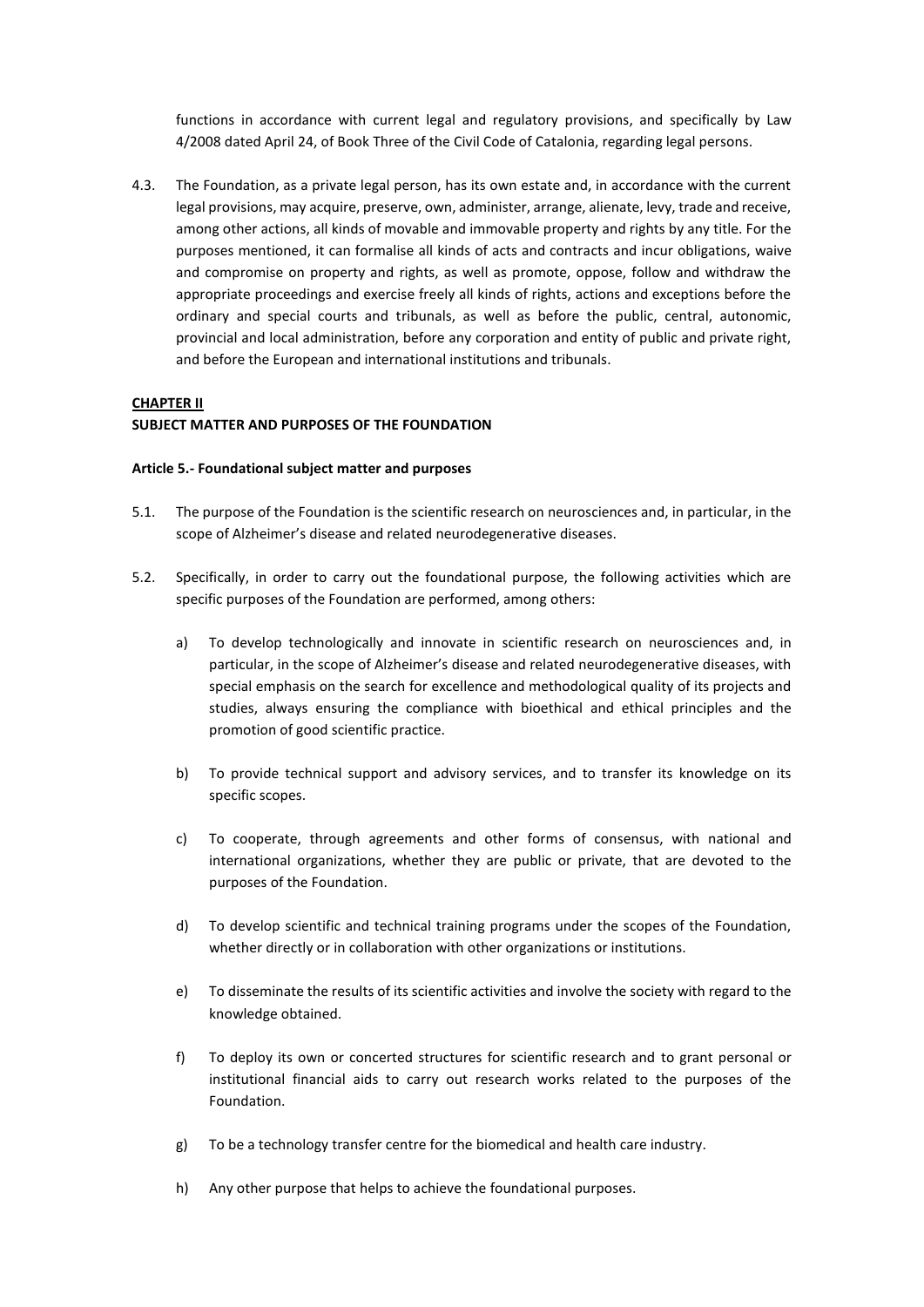functions in accordance with current legal and regulatory provisions, and specifically by Law 4/2008 dated April 24, of Book Three of the Civil Code of Catalonia, regarding legal persons.

4.3. The Foundation, as a private legal person, has its own estate and, in accordance with the current legal provisions, may acquire, preserve, own, administer, arrange, alienate, levy, trade and receive, among other actions, all kinds of movable and immovable property and rights by any title. For the purposes mentioned, it can formalise all kinds of acts and contracts and incur obligations, waive and compromise on property and rights, as well as promote, oppose, follow and withdraw the appropriate proceedings and exercise freely all kinds of rights, actions and exceptions before the ordinary and special courts and tribunals, as well as before the public, central, autonomic, provincial and local administration, before any corporation and entity of public and private right, and before the European and international institutions and tribunals.

# **CHAPTER II**

# **SUBJECT MATTER AND PURPOSES OF THE FOUNDATION**

#### **Article 5.- Foundational subject matter and purposes**

- 5.1. The purpose of the Foundation is the scientific research on neurosciences and, in particular, in the scope of Alzheimer's disease and related neurodegenerative diseases.
- 5.2. Specifically, in order to carry out the foundational purpose, the following activities which are specific purposes of the Foundation are performed, among others:
	- a) To develop technologically and innovate in scientific research on neurosciences and, in particular, in the scope of Alzheimer's disease and related neurodegenerative diseases, with special emphasis on the search for excellence and methodological quality of its projects and studies, always ensuring the compliance with bioethical and ethical principles and the promotion of good scientific practice.
	- b) To provide technical support and advisory services, and to transfer its knowledge on its specific scopes.
	- c) To cooperate, through agreements and other forms of consensus, with national and international organizations, whether they are public or private, that are devoted to the purposes of the Foundation.
	- d) To develop scientific and technical training programs under the scopes of the Foundation, whether directly or in collaboration with other organizations or institutions.
	- e) To disseminate the results of its scientific activities and involve the society with regard to the knowledge obtained.
	- f) To deploy its own or concerted structures for scientific research and to grant personal or institutional financial aids to carry out research works related to the purposes of the Foundation.
	- g) To be a technology transfer centre for the biomedical and health care industry.
	- h) Any other purpose that helps to achieve the foundational purposes.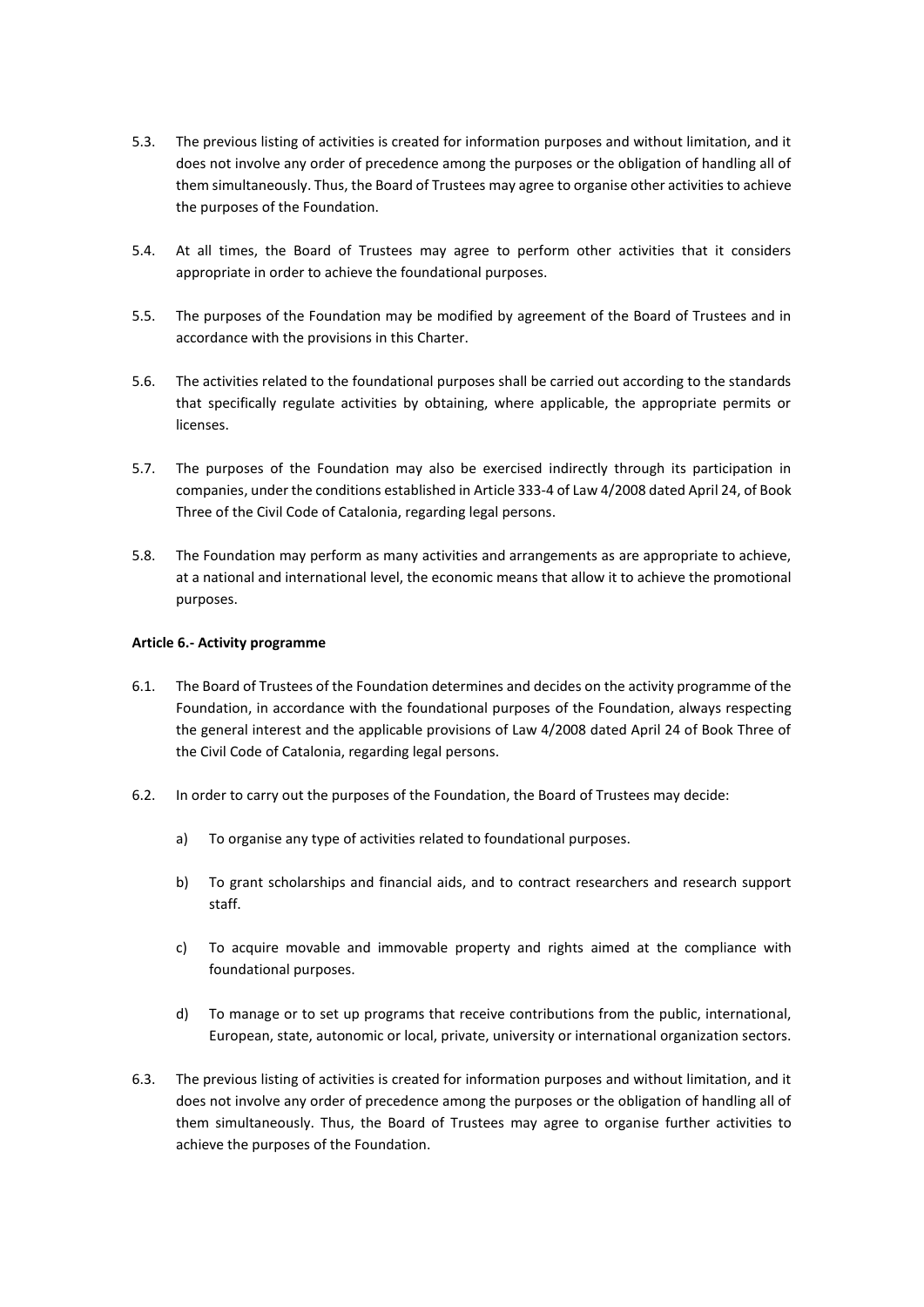- 5.3. The previous listing of activities is created for information purposes and without limitation, and it does not involve any order of precedence among the purposes or the obligation of handling all of them simultaneously. Thus, the Board of Trustees may agree to organise other activities to achieve the purposes of the Foundation.
- 5.4. At all times, the Board of Trustees may agree to perform other activities that it considers appropriate in order to achieve the foundational purposes.
- 5.5. The purposes of the Foundation may be modified by agreement of the Board of Trustees and in accordance with the provisions in this Charter.
- 5.6. The activities related to the foundational purposes shall be carried out according to the standards that specifically regulate activities by obtaining, where applicable, the appropriate permits or licenses.
- 5.7. The purposes of the Foundation may also be exercised indirectly through its participation in companies, under the conditions established in Article 333-4 of Law 4/2008 dated April 24, of Book Three of the Civil Code of Catalonia, regarding legal persons.
- 5.8. The Foundation may perform as many activities and arrangements as are appropriate to achieve, at a national and international level, the economic means that allow it to achieve the promotional purposes.

# **Article 6.- Activity programme**

- 6.1. The Board of Trustees of the Foundation determines and decides on the activity programme of the Foundation, in accordance with the foundational purposes of the Foundation, always respecting the general interest and the applicable provisions of Law 4/2008 dated April 24 of Book Three of the Civil Code of Catalonia, regarding legal persons.
- 6.2. In order to carry out the purposes of the Foundation, the Board of Trustees may decide:
	- a) To organise any type of activities related to foundational purposes.
	- b) To grant scholarships and financial aids, and to contract researchers and research support staff.
	- c) To acquire movable and immovable property and rights aimed at the compliance with foundational purposes.
	- d) To manage or to set up programs that receive contributions from the public, international, European, state, autonomic or local, private, university or international organization sectors.
- 6.3. The previous listing of activities is created for information purposes and without limitation, and it does not involve any order of precedence among the purposes or the obligation of handling all of them simultaneously. Thus, the Board of Trustees may agree to organise further activities to achieve the purposes of the Foundation.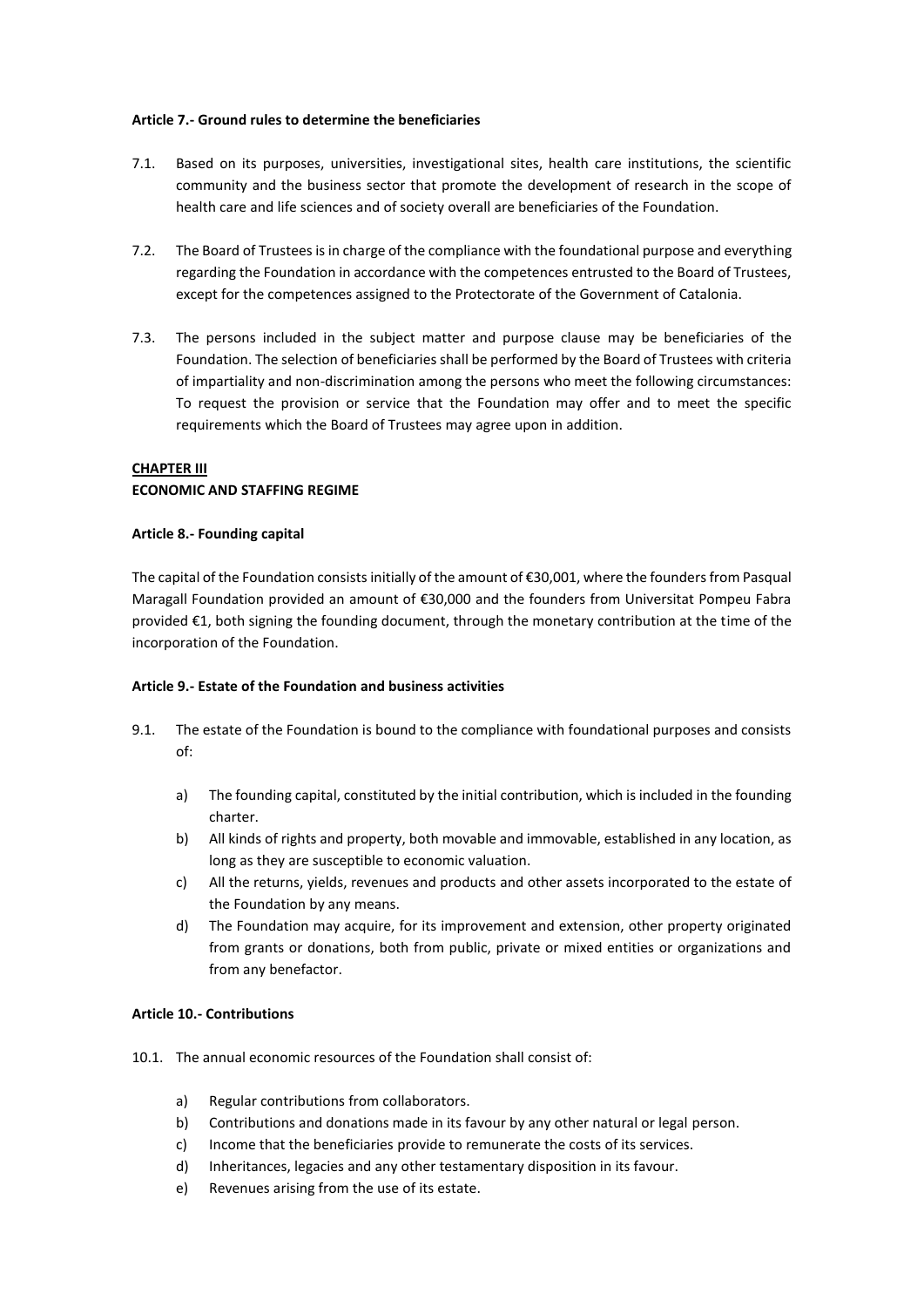#### **Article 7.- Ground rules to determine the beneficiaries**

- 7.1. Based on its purposes, universities, investigational sites, health care institutions, the scientific community and the business sector that promote the development of research in the scope of health care and life sciences and of society overall are beneficiaries of the Foundation.
- 7.2. The Board of Trustees is in charge of the compliance with the foundational purpose and everything regarding the Foundation in accordance with the competences entrusted to the Board of Trustees, except for the competences assigned to the Protectorate of the Government of Catalonia.
- 7.3. The persons included in the subject matter and purpose clause may be beneficiaries of the Foundation. The selection of beneficiaries shall be performed by the Board of Trustees with criteria of impartiality and non-discrimination among the persons who meet the following circumstances: To request the provision or service that the Foundation may offer and to meet the specific requirements which the Board of Trustees may agree upon in addition.

# **CHAPTER III**

# **ECONOMIC AND STAFFING REGIME**

# **Article 8.- Founding capital**

The capital of the Foundation consists initially of the amount of €30,001, where the founders from Pasqual Maragall Foundation provided an amount of €30,000 and the founders from Universitat Pompeu Fabra provided €1, both signing the founding document, through the monetary contribution at the time of the incorporation of the Foundation.

# **Article 9.- Estate of the Foundation and business activities**

- 9.1. The estate of the Foundation is bound to the compliance with foundational purposes and consists of:
	- a) The founding capital, constituted by the initial contribution, which is included in the founding charter.
	- b) All kinds of rights and property, both movable and immovable, established in any location, as long as they are susceptible to economic valuation.
	- c) All the returns, yields, revenues and products and other assets incorporated to the estate of the Foundation by any means.
	- d) The Foundation may acquire, for its improvement and extension, other property originated from grants or donations, both from public, private or mixed entities or organizations and from any benefactor.

# **Article 10.- Contributions**

- 10.1. The annual economic resources of the Foundation shall consist of:
	- a) Regular contributions from collaborators.
	- b) Contributions and donations made in its favour by any other natural or legal person.
	- c) Income that the beneficiaries provide to remunerate the costs of its services.
	- d) Inheritances, legacies and any other testamentary disposition in its favour.
	- e) Revenues arising from the use of its estate.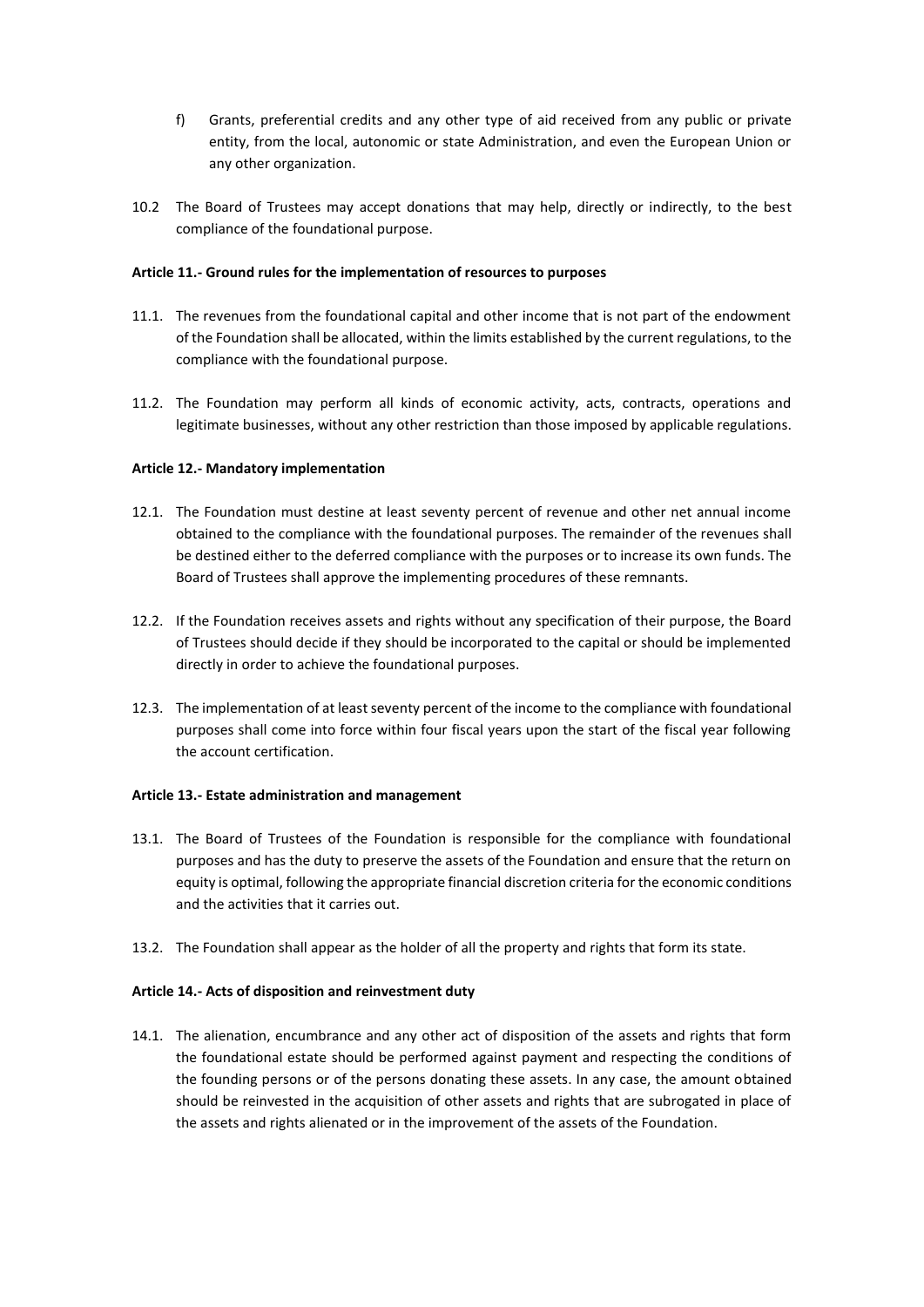- f) Grants, preferential credits and any other type of aid received from any public or private entity, from the local, autonomic or state Administration, and even the European Union or any other organization.
- 10.2 The Board of Trustees may accept donations that may help, directly or indirectly, to the best compliance of the foundational purpose.

# **Article 11.- Ground rules for the implementation of resources to purposes**

- 11.1. The revenues from the foundational capital and other income that is not part of the endowment of the Foundation shall be allocated, within the limits established by the current regulations, to the compliance with the foundational purpose.
- 11.2. The Foundation may perform all kinds of economic activity, acts, contracts, operations and legitimate businesses, without any other restriction than those imposed by applicable regulations.

# **Article 12.- Mandatory implementation**

- 12.1. The Foundation must destine at least seventy percent of revenue and other net annual income obtained to the compliance with the foundational purposes. The remainder of the revenues shall be destined either to the deferred compliance with the purposes or to increase its own funds. The Board of Trustees shall approve the implementing procedures of these remnants.
- 12.2. If the Foundation receives assets and rights without any specification of their purpose, the Board of Trustees should decide if they should be incorporated to the capital or should be implemented directly in order to achieve the foundational purposes.
- 12.3. The implementation of at least seventy percent of the income to the compliance with foundational purposes shall come into force within four fiscal years upon the start of the fiscal year following the account certification.

# **Article 13.- Estate administration and management**

- 13.1. The Board of Trustees of the Foundation is responsible for the compliance with foundational purposes and has the duty to preserve the assets of the Foundation and ensure that the return on equity is optimal, following the appropriate financial discretion criteria for the economic conditions and the activities that it carries out.
- 13.2. The Foundation shall appear as the holder of all the property and rights that form its state.

# **Article 14.- Acts of disposition and reinvestment duty**

14.1. The alienation, encumbrance and any other act of disposition of the assets and rights that form the foundational estate should be performed against payment and respecting the conditions of the founding persons or of the persons donating these assets. In any case, the amount obtained should be reinvested in the acquisition of other assets and rights that are subrogated in place of the assets and rights alienated or in the improvement of the assets of the Foundation.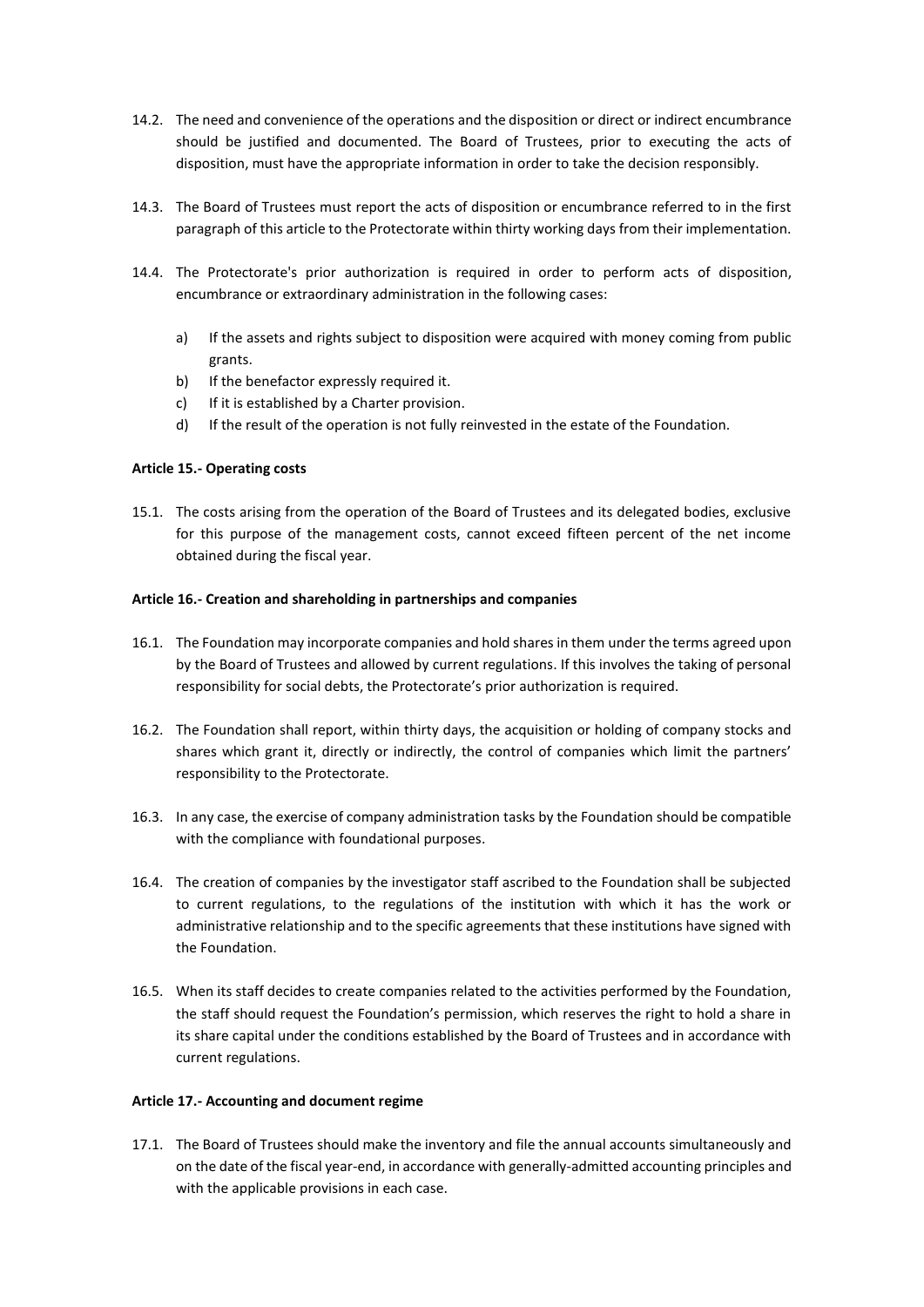- 14.2. The need and convenience of the operations and the disposition or direct or indirect encumbrance should be justified and documented. The Board of Trustees, prior to executing the acts of disposition, must have the appropriate information in order to take the decision responsibly.
- 14.3. The Board of Trustees must report the acts of disposition or encumbrance referred to in the first paragraph of this article to the Protectorate within thirty working days from their implementation.
- 14.4. The Protectorate's prior authorization is required in order to perform acts of disposition, encumbrance or extraordinary administration in the following cases:
	- a) If the assets and rights subject to disposition were acquired with money coming from public grants.
	- b) If the benefactor expressly required it.
	- c) If it is established by a Charter provision.
	- d) If the result of the operation is not fully reinvested in the estate of the Foundation.

# **Article 15.- Operating costs**

15.1. The costs arising from the operation of the Board of Trustees and its delegated bodies, exclusive for this purpose of the management costs, cannot exceed fifteen percent of the net income obtained during the fiscal year.

# **Article 16.- Creation and shareholding in partnerships and companies**

- 16.1. The Foundation may incorporate companies and hold shares in them under the terms agreed upon by the Board of Trustees and allowed by current regulations. If this involves the taking of personal responsibility for social debts, the Protectorate's prior authorization is required.
- 16.2. The Foundation shall report, within thirty days, the acquisition or holding of company stocks and shares which grant it, directly or indirectly, the control of companies which limit the partners' responsibility to the Protectorate.
- 16.3. In any case, the exercise of company administration tasks by the Foundation should be compatible with the compliance with foundational purposes.
- 16.4. The creation of companies by the investigator staff ascribed to the Foundation shall be subjected to current regulations, to the regulations of the institution with which it has the work or administrative relationship and to the specific agreements that these institutions have signed with the Foundation.
- 16.5. When its staff decides to create companies related to the activities performed by the Foundation, the staff should request the Foundation's permission, which reserves the right to hold a share in its share capital under the conditions established by the Board of Trustees and in accordance with current regulations.

# **Article 17.- Accounting and document regime**

17.1. The Board of Trustees should make the inventory and file the annual accounts simultaneously and on the date of the fiscal year-end, in accordance with generally-admitted accounting principles and with the applicable provisions in each case.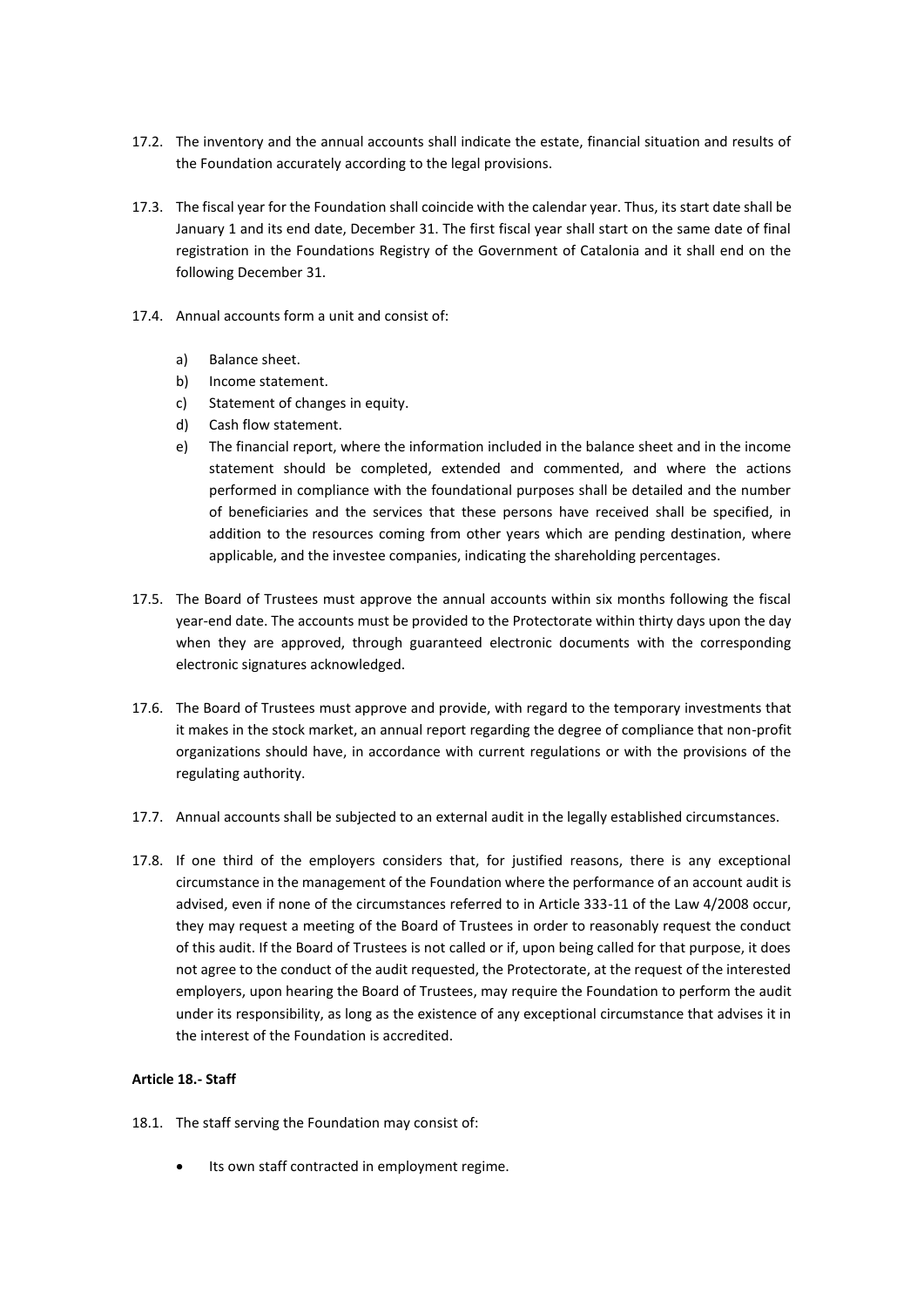- 17.2. The inventory and the annual accounts shall indicate the estate, financial situation and results of the Foundation accurately according to the legal provisions.
- 17.3. The fiscal year for the Foundation shall coincide with the calendar year. Thus, its start date shall be January 1 and its end date, December 31. The first fiscal year shall start on the same date of final registration in the Foundations Registry of the Government of Catalonia and it shall end on the following December 31.
- 17.4. Annual accounts form a unit and consist of:
	- a) Balance sheet.
	- b) Income statement.
	- c) Statement of changes in equity.
	- d) Cash flow statement.
	- e) The financial report, where the information included in the balance sheet and in the income statement should be completed, extended and commented, and where the actions performed in compliance with the foundational purposes shall be detailed and the number of beneficiaries and the services that these persons have received shall be specified, in addition to the resources coming from other years which are pending destination, where applicable, and the investee companies, indicating the shareholding percentages.
- 17.5. The Board of Trustees must approve the annual accounts within six months following the fiscal year-end date. The accounts must be provided to the Protectorate within thirty days upon the day when they are approved, through guaranteed electronic documents with the corresponding electronic signatures acknowledged.
- 17.6. The Board of Trustees must approve and provide, with regard to the temporary investments that it makes in the stock market, an annual report regarding the degree of compliance that non-profit organizations should have, in accordance with current regulations or with the provisions of the regulating authority.
- 17.7. Annual accounts shall be subjected to an external audit in the legally established circumstances.
- 17.8. If one third of the employers considers that, for justified reasons, there is any exceptional circumstance in the management of the Foundation where the performance of an account audit is advised, even if none of the circumstances referred to in Article 333-11 of the Law 4/2008 occur, they may request a meeting of the Board of Trustees in order to reasonably request the conduct of this audit. If the Board of Trustees is not called or if, upon being called for that purpose, it does not agree to the conduct of the audit requested, the Protectorate, at the request of the interested employers, upon hearing the Board of Trustees, may require the Foundation to perform the audit under its responsibility, as long as the existence of any exceptional circumstance that advises it in the interest of the Foundation is accredited.

# **Article 18.- Staff**

- 18.1. The staff serving the Foundation may consist of:
	- Its own staff contracted in employment regime.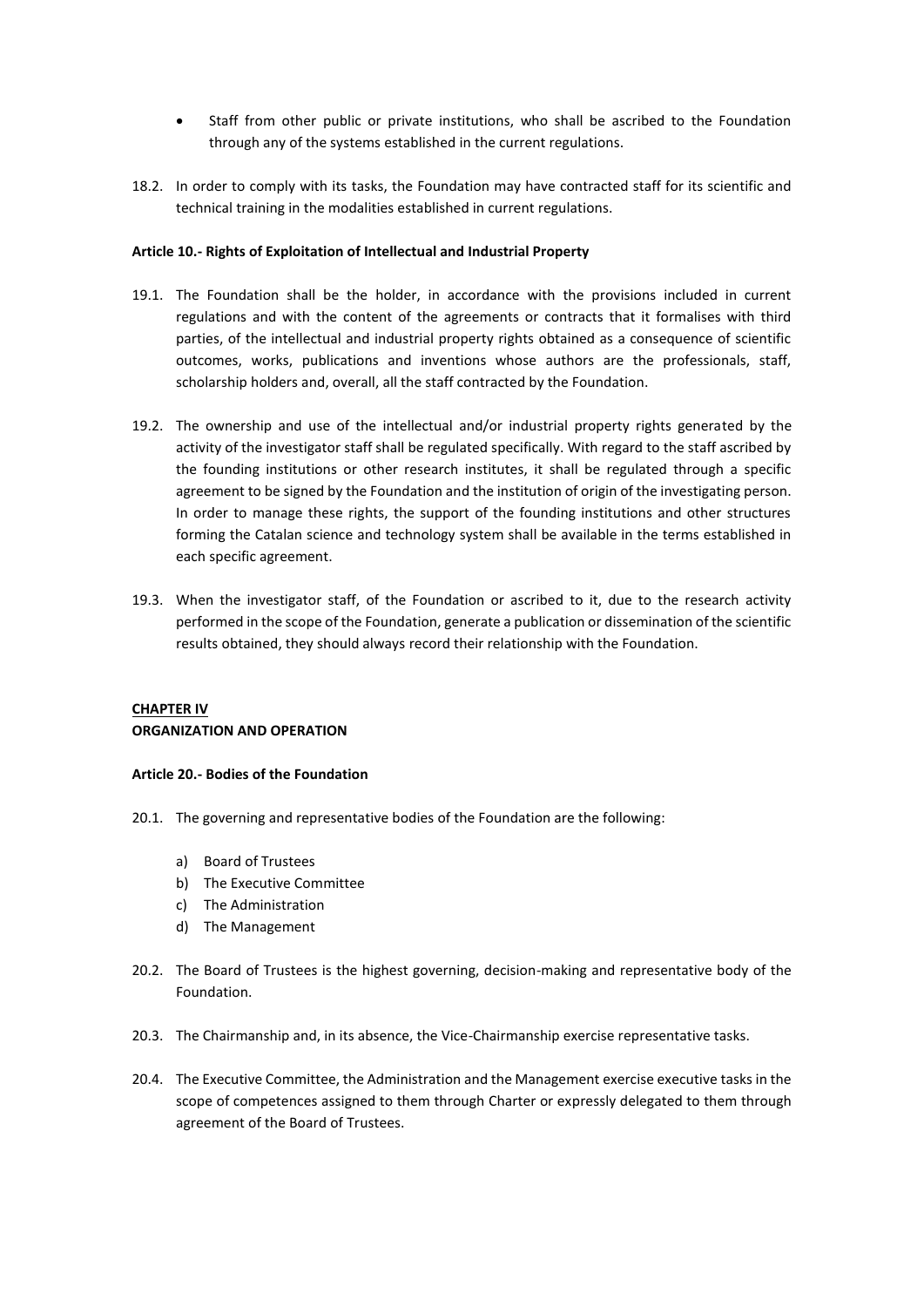- Staff from other public or private institutions, who shall be ascribed to the Foundation through any of the systems established in the current regulations.
- 18.2. In order to comply with its tasks, the Foundation may have contracted staff for its scientific and technical training in the modalities established in current regulations.

# **Article 10.- Rights of Exploitation of Intellectual and Industrial Property**

- 19.1. The Foundation shall be the holder, in accordance with the provisions included in current regulations and with the content of the agreements or contracts that it formalises with third parties, of the intellectual and industrial property rights obtained as a consequence of scientific outcomes, works, publications and inventions whose authors are the professionals, staff, scholarship holders and, overall, all the staff contracted by the Foundation.
- 19.2. The ownership and use of the intellectual and/or industrial property rights generated by the activity of the investigator staff shall be regulated specifically. With regard to the staff ascribed by the founding institutions or other research institutes, it shall be regulated through a specific agreement to be signed by the Foundation and the institution of origin of the investigating person. In order to manage these rights, the support of the founding institutions and other structures forming the Catalan science and technology system shall be available in the terms established in each specific agreement.
- 19.3. When the investigator staff, of the Foundation or ascribed to it, due to the research activity performed in the scope of the Foundation, generate a publication or dissemination of the scientific results obtained, they should always record their relationship with the Foundation.

# **CHAPTER IV ORGANIZATION AND OPERATION**

# **Article 20.- Bodies of the Foundation**

- 20.1. The governing and representative bodies of the Foundation are the following:
	- a) Board of Trustees
	- b) The Executive Committee
	- c) The Administration
	- d) The Management
- 20.2. The Board of Trustees is the highest governing, decision-making and representative body of the Foundation.
- 20.3. The Chairmanship and, in its absence, the Vice-Chairmanship exercise representative tasks.
- 20.4. The Executive Committee, the Administration and the Management exercise executive tasks in the scope of competences assigned to them through Charter or expressly delegated to them through agreement of the Board of Trustees.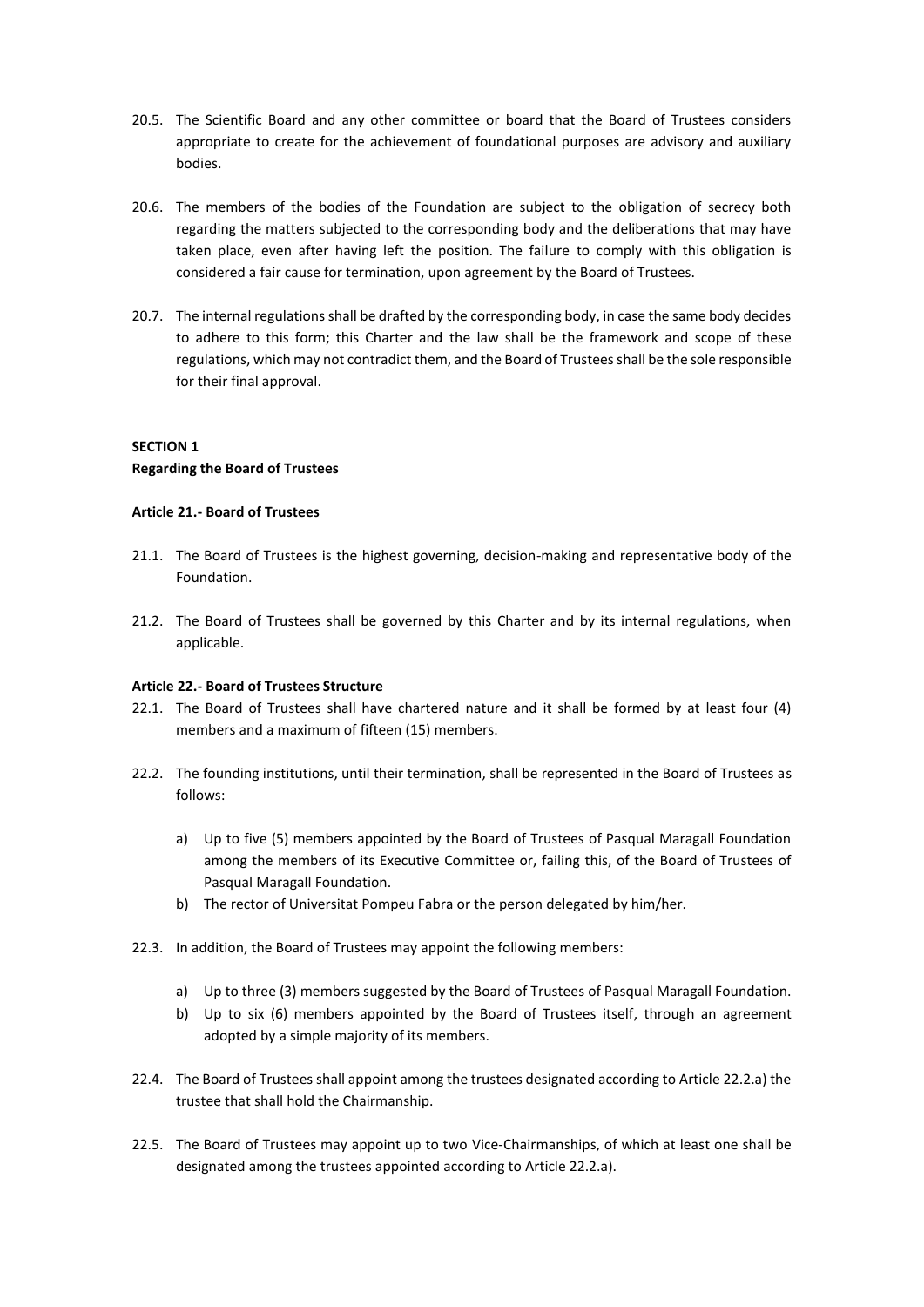- 20.5. The Scientific Board and any other committee or board that the Board of Trustees considers appropriate to create for the achievement of foundational purposes are advisory and auxiliary bodies.
- 20.6. The members of the bodies of the Foundation are subject to the obligation of secrecy both regarding the matters subjected to the corresponding body and the deliberations that may have taken place, even after having left the position. The failure to comply with this obligation is considered a fair cause for termination, upon agreement by the Board of Trustees.
- 20.7. The internal regulations shall be drafted by the corresponding body, in case the same body decides to adhere to this form; this Charter and the law shall be the framework and scope of these regulations, which may not contradict them, and the Board of Trustees shall be the sole responsible for their final approval.

# **SECTION 1 Regarding the Board of Trustees**

# **Article 21.- Board of Trustees**

- 21.1. The Board of Trustees is the highest governing, decision-making and representative body of the Foundation.
- 21.2. The Board of Trustees shall be governed by this Charter and by its internal regulations, when applicable.

# **Article 22.- Board of Trustees Structure**

- 22.1. The Board of Trustees shall have chartered nature and it shall be formed by at least four (4) members and a maximum of fifteen (15) members.
- 22.2. The founding institutions, until their termination, shall be represented in the Board of Trustees as follows:
	- a) Up to five (5) members appointed by the Board of Trustees of Pasqual Maragall Foundation among the members of its Executive Committee or, failing this, of the Board of Trustees of Pasqual Maragall Foundation.
	- b) The rector of Universitat Pompeu Fabra or the person delegated by him/her.
- 22.3. In addition, the Board of Trustees may appoint the following members:
	- a) Up to three (3) members suggested by the Board of Trustees of Pasqual Maragall Foundation.
	- b) Up to six (6) members appointed by the Board of Trustees itself, through an agreement adopted by a simple majority of its members.
- 22.4. The Board of Trustees shall appoint among the trustees designated according to Article 22.2.a) the trustee that shall hold the Chairmanship.
- 22.5. The Board of Trustees may appoint up to two Vice-Chairmanships, of which at least one shall be designated among the trustees appointed according to Article 22.2.a).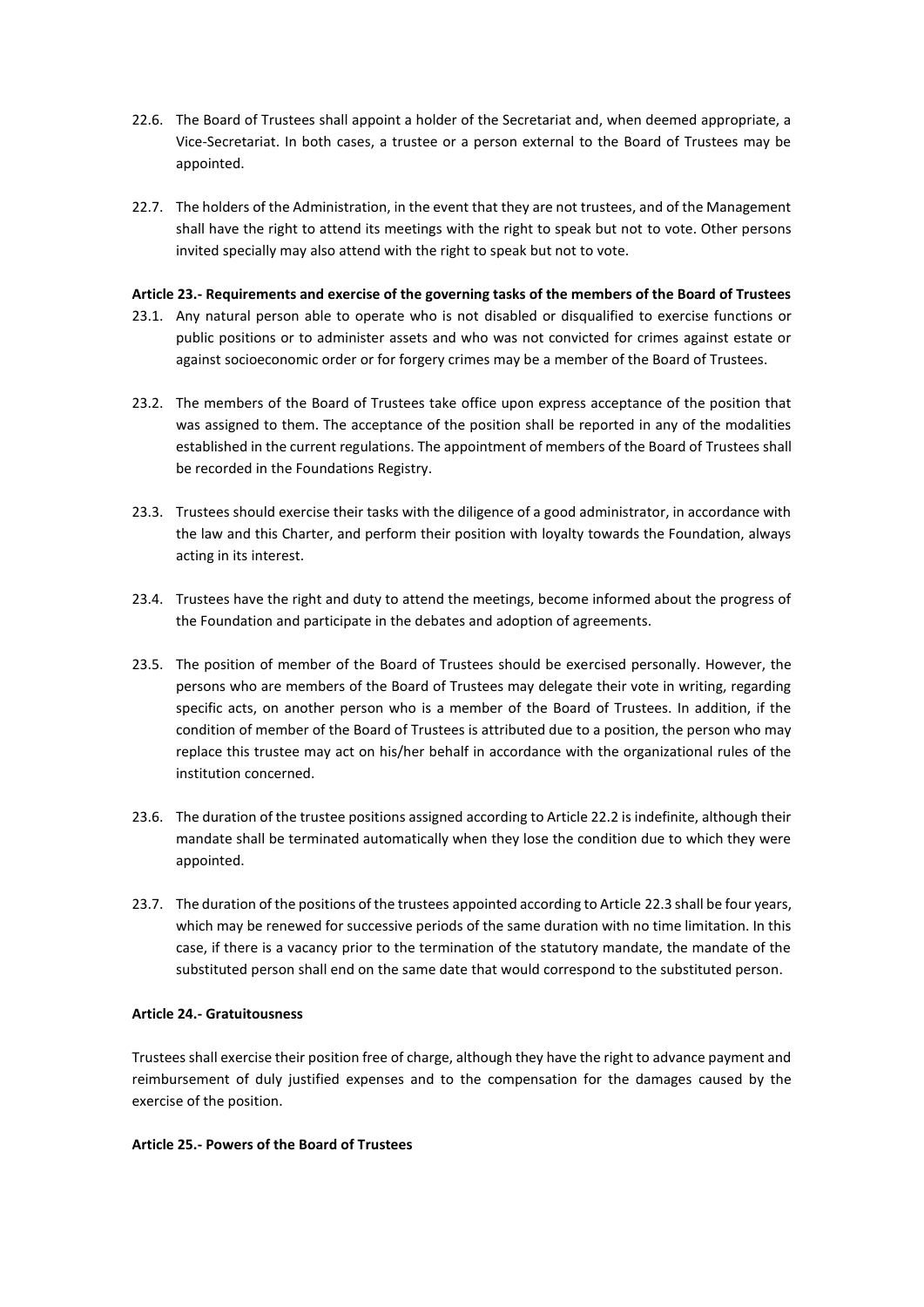- 22.6. The Board of Trustees shall appoint a holder of the Secretariat and, when deemed appropriate, a Vice-Secretariat. In both cases, a trustee or a person external to the Board of Trustees may be appointed.
- 22.7. The holders of the Administration, in the event that they are not trustees, and of the Management shall have the right to attend its meetings with the right to speak but not to vote. Other persons invited specially may also attend with the right to speak but not to vote.

# **Article 23.- Requirements and exercise of the governing tasks of the members of the Board of Trustees**

- 23.1. Any natural person able to operate who is not disabled or disqualified to exercise functions or public positions or to administer assets and who was not convicted for crimes against estate or against socioeconomic order or for forgery crimes may be a member of the Board of Trustees.
- 23.2. The members of the Board of Trustees take office upon express acceptance of the position that was assigned to them. The acceptance of the position shall be reported in any of the modalities established in the current regulations. The appointment of members of the Board of Trustees shall be recorded in the Foundations Registry.
- 23.3. Trustees should exercise their tasks with the diligence of a good administrator, in accordance with the law and this Charter, and perform their position with loyalty towards the Foundation, always acting in its interest.
- 23.4. Trustees have the right and duty to attend the meetings, become informed about the progress of the Foundation and participate in the debates and adoption of agreements.
- 23.5. The position of member of the Board of Trustees should be exercised personally. However, the persons who are members of the Board of Trustees may delegate their vote in writing, regarding specific acts, on another person who is a member of the Board of Trustees. In addition, if the condition of member of the Board of Trustees is attributed due to a position, the person who may replace this trustee may act on his/her behalf in accordance with the organizational rules of the institution concerned.
- 23.6. The duration of the trustee positions assigned according to Article 22.2 is indefinite, although their mandate shall be terminated automatically when they lose the condition due to which they were appointed.
- 23.7. The duration of the positions of the trustees appointed according to Article 22.3 shall be four years, which may be renewed for successive periods of the same duration with no time limitation. In this case, if there is a vacancy prior to the termination of the statutory mandate, the mandate of the substituted person shall end on the same date that would correspond to the substituted person.

# **Article 24.- Gratuitousness**

Trustees shall exercise their position free of charge, although they have the right to advance payment and reimbursement of duly justified expenses and to the compensation for the damages caused by the exercise of the position.

# **Article 25.- Powers of the Board of Trustees**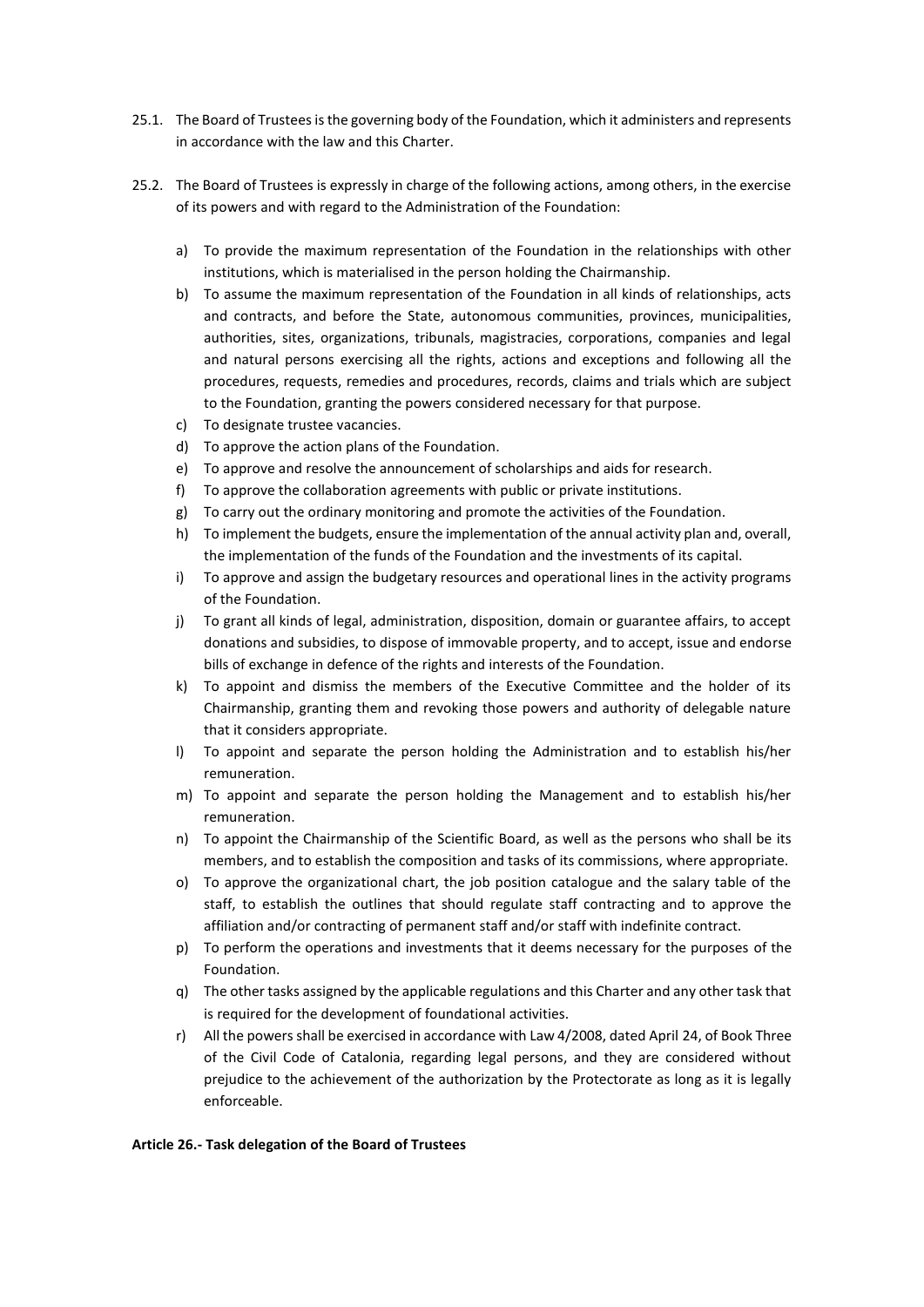- 25.1. The Board of Trustees is the governing body of the Foundation, which it administers and represents in accordance with the law and this Charter.
- 25.2. The Board of Trustees is expressly in charge of the following actions, among others, in the exercise of its powers and with regard to the Administration of the Foundation:
	- a) To provide the maximum representation of the Foundation in the relationships with other institutions, which is materialised in the person holding the Chairmanship.
	- b) To assume the maximum representation of the Foundation in all kinds of relationships, acts and contracts, and before the State, autonomous communities, provinces, municipalities, authorities, sites, organizations, tribunals, magistracies, corporations, companies and legal and natural persons exercising all the rights, actions and exceptions and following all the procedures, requests, remedies and procedures, records, claims and trials which are subject to the Foundation, granting the powers considered necessary for that purpose.
	- c) To designate trustee vacancies.
	- d) To approve the action plans of the Foundation.
	- e) To approve and resolve the announcement of scholarships and aids for research.
	- f) To approve the collaboration agreements with public or private institutions.
	- g) To carry out the ordinary monitoring and promote the activities of the Foundation.
	- h) To implement the budgets, ensure the implementation of the annual activity plan and, overall, the implementation of the funds of the Foundation and the investments of its capital.
	- i) To approve and assign the budgetary resources and operational lines in the activity programs of the Foundation.
	- j) To grant all kinds of legal, administration, disposition, domain or guarantee affairs, to accept donations and subsidies, to dispose of immovable property, and to accept, issue and endorse bills of exchange in defence of the rights and interests of the Foundation.
	- k) To appoint and dismiss the members of the Executive Committee and the holder of its Chairmanship, granting them and revoking those powers and authority of delegable nature that it considers appropriate.
	- l) To appoint and separate the person holding the Administration and to establish his/her remuneration.
	- m) To appoint and separate the person holding the Management and to establish his/her remuneration.
	- n) To appoint the Chairmanship of the Scientific Board, as well as the persons who shall be its members, and to establish the composition and tasks of its commissions, where appropriate.
	- o) To approve the organizational chart, the job position catalogue and the salary table of the staff, to establish the outlines that should regulate staff contracting and to approve the affiliation and/or contracting of permanent staff and/or staff with indefinite contract.
	- p) To perform the operations and investments that it deems necessary for the purposes of the Foundation.
	- q) The other tasks assigned by the applicable regulations and this Charter and any other task that is required for the development of foundational activities.
	- r) All the powers shall be exercised in accordance with Law 4/2008, dated April 24, of Book Three of the Civil Code of Catalonia, regarding legal persons, and they are considered without prejudice to the achievement of the authorization by the Protectorate as long as it is legally enforceable.

# **Article 26.- Task delegation of the Board of Trustees**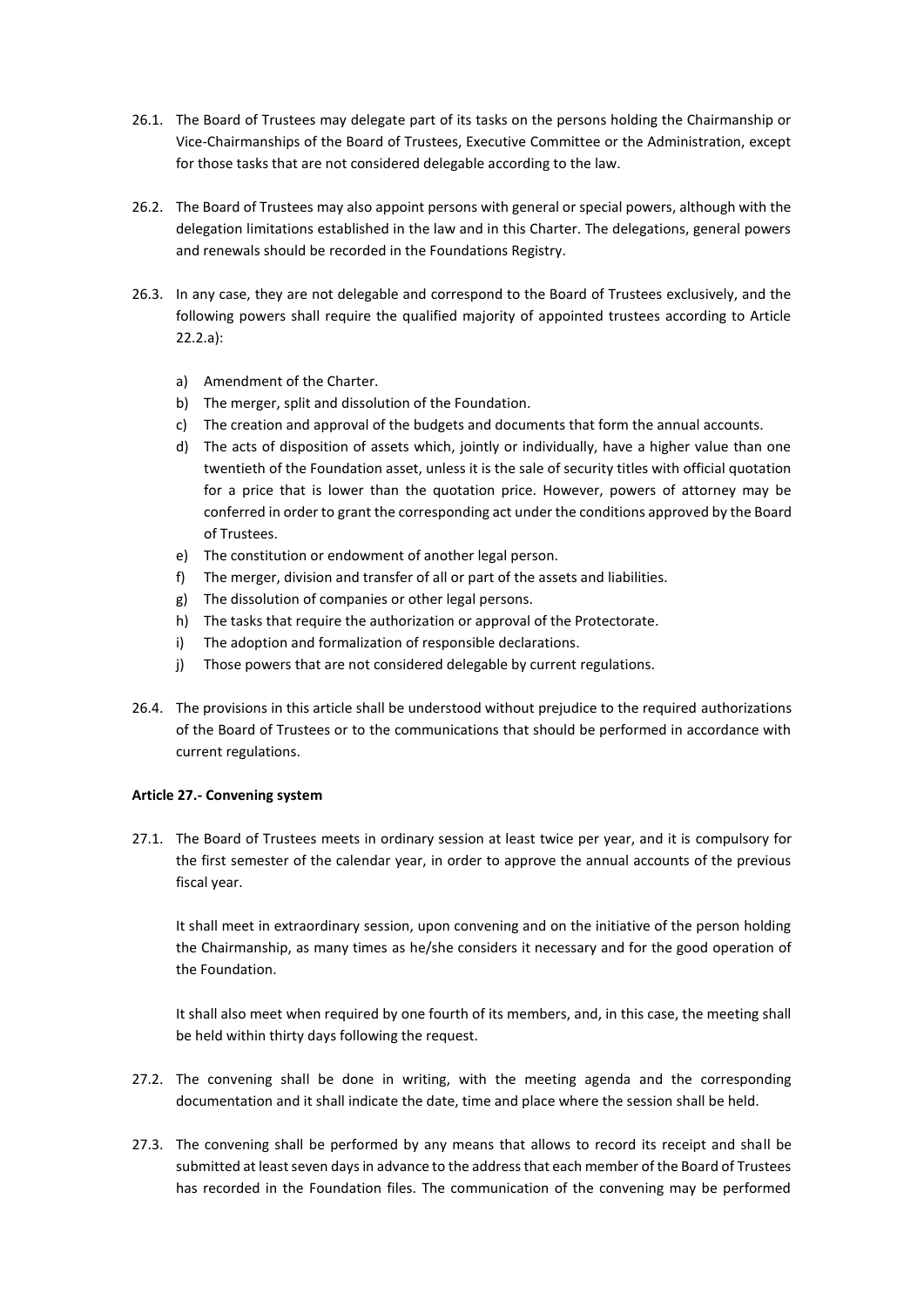- 26.1. The Board of Trustees may delegate part of its tasks on the persons holding the Chairmanship or Vice-Chairmanships of the Board of Trustees, Executive Committee or the Administration, except for those tasks that are not considered delegable according to the law.
- 26.2. The Board of Trustees may also appoint persons with general or special powers, although with the delegation limitations established in the law and in this Charter. The delegations, general powers and renewals should be recorded in the Foundations Registry.
- 26.3. In any case, they are not delegable and correspond to the Board of Trustees exclusively, and the following powers shall require the qualified majority of appointed trustees according to Article 22.2.a):
	- a) Amendment of the Charter.
	- b) The merger, split and dissolution of the Foundation.
	- c) The creation and approval of the budgets and documents that form the annual accounts.
	- d) The acts of disposition of assets which, jointly or individually, have a higher value than one twentieth of the Foundation asset, unless it is the sale of security titles with official quotation for a price that is lower than the quotation price. However, powers of attorney may be conferred in order to grant the corresponding act under the conditions approved by the Board of Trustees.
	- e) The constitution or endowment of another legal person.
	- f) The merger, division and transfer of all or part of the assets and liabilities.
	- g) The dissolution of companies or other legal persons.
	- h) The tasks that require the authorization or approval of the Protectorate.
	- i) The adoption and formalization of responsible declarations.
	- j) Those powers that are not considered delegable by current regulations.
- 26.4. The provisions in this article shall be understood without prejudice to the required authorizations of the Board of Trustees or to the communications that should be performed in accordance with current regulations.

# **Article 27.- Convening system**

27.1. The Board of Trustees meets in ordinary session at least twice per year, and it is compulsory for the first semester of the calendar year, in order to approve the annual accounts of the previous fiscal year.

It shall meet in extraordinary session, upon convening and on the initiative of the person holding the Chairmanship, as many times as he/she considers it necessary and for the good operation of the Foundation.

It shall also meet when required by one fourth of its members, and, in this case, the meeting shall be held within thirty days following the request.

- 27.2. The convening shall be done in writing, with the meeting agenda and the corresponding documentation and it shall indicate the date, time and place where the session shall be held.
- 27.3. The convening shall be performed by any means that allows to record its receipt and shall be submitted at least seven days in advance to the address that each member of the Board of Trustees has recorded in the Foundation files. The communication of the convening may be performed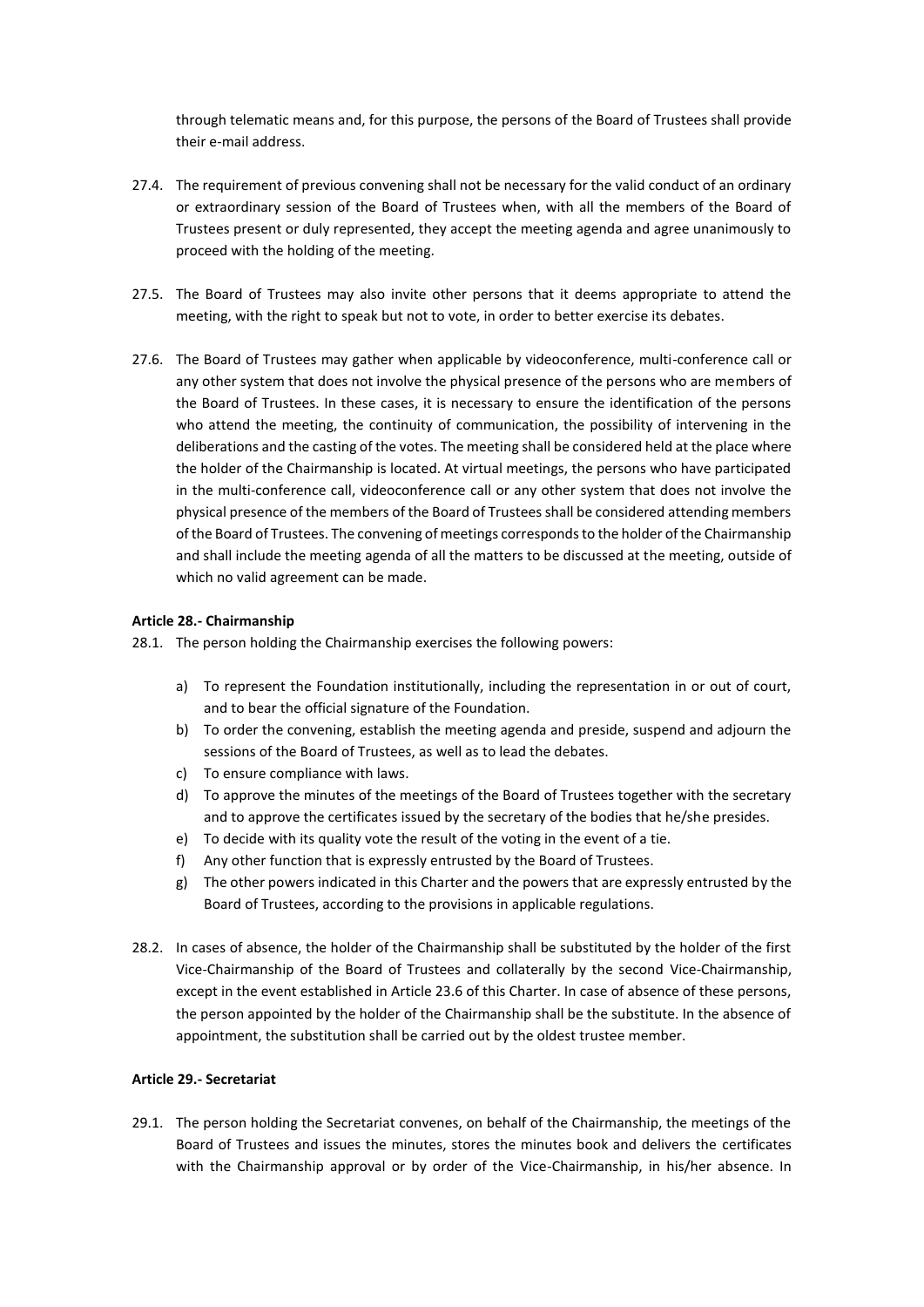through telematic means and, for this purpose, the persons of the Board of Trustees shall provide their e-mail address.

- 27.4. The requirement of previous convening shall not be necessary for the valid conduct of an ordinary or extraordinary session of the Board of Trustees when, with all the members of the Board of Trustees present or duly represented, they accept the meeting agenda and agree unanimously to proceed with the holding of the meeting.
- 27.5. The Board of Trustees may also invite other persons that it deems appropriate to attend the meeting, with the right to speak but not to vote, in order to better exercise its debates.
- 27.6. The Board of Trustees may gather when applicable by videoconference, multi-conference call or any other system that does not involve the physical presence of the persons who are members of the Board of Trustees. In these cases, it is necessary to ensure the identification of the persons who attend the meeting, the continuity of communication, the possibility of intervening in the deliberations and the casting of the votes. The meeting shall be considered held at the place where the holder of the Chairmanship is located. At virtual meetings, the persons who have participated in the multi-conference call, videoconference call or any other system that does not involve the physical presence of the members of the Board of Trustees shall be considered attending members of the Board of Trustees. The convening of meetings corresponds to the holder of the Chairmanship and shall include the meeting agenda of all the matters to be discussed at the meeting, outside of which no valid agreement can be made.

# **Article 28.- Chairmanship**

- 28.1. The person holding the Chairmanship exercises the following powers:
	- a) To represent the Foundation institutionally, including the representation in or out of court, and to bear the official signature of the Foundation.
	- b) To order the convening, establish the meeting agenda and preside, suspend and adjourn the sessions of the Board of Trustees, as well as to lead the debates.
	- c) To ensure compliance with laws.
	- d) To approve the minutes of the meetings of the Board of Trustees together with the secretary and to approve the certificates issued by the secretary of the bodies that he/she presides.
	- e) To decide with its quality vote the result of the voting in the event of a tie.
	- f) Any other function that is expressly entrusted by the Board of Trustees.
	- g) The other powers indicated in this Charter and the powers that are expressly entrusted by the Board of Trustees, according to the provisions in applicable regulations.
- 28.2. In cases of absence, the holder of the Chairmanship shall be substituted by the holder of the first Vice-Chairmanship of the Board of Trustees and collaterally by the second Vice-Chairmanship, except in the event established in Article 23.6 of this Charter. In case of absence of these persons, the person appointed by the holder of the Chairmanship shall be the substitute. In the absence of appointment, the substitution shall be carried out by the oldest trustee member.

# **Article 29.- Secretariat**

29.1. The person holding the Secretariat convenes, on behalf of the Chairmanship, the meetings of the Board of Trustees and issues the minutes, stores the minutes book and delivers the certificates with the Chairmanship approval or by order of the Vice-Chairmanship, in his/her absence. In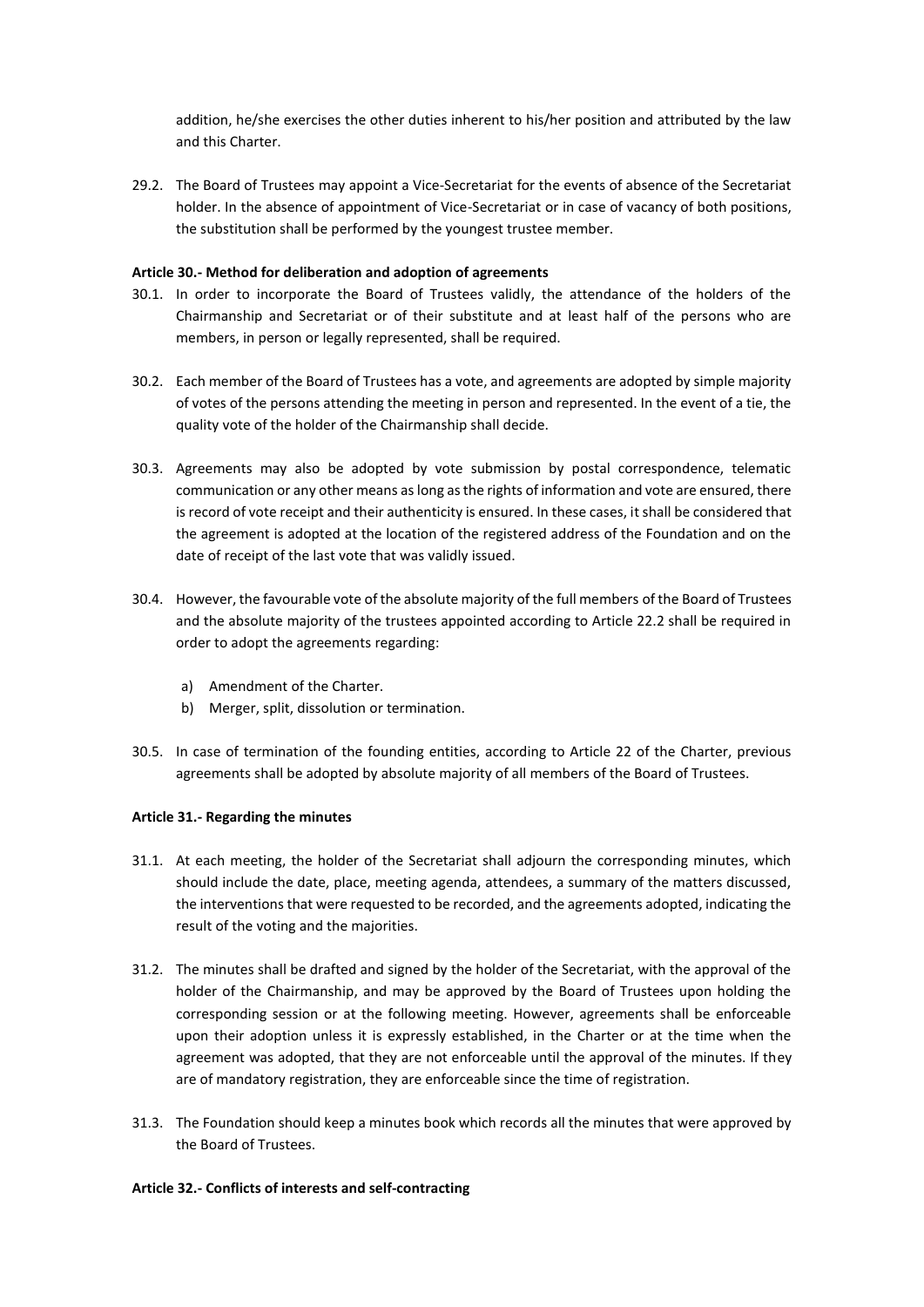addition, he/she exercises the other duties inherent to his/her position and attributed by the law and this Charter.

29.2. The Board of Trustees may appoint a Vice-Secretariat for the events of absence of the Secretariat holder. In the absence of appointment of Vice-Secretariat or in case of vacancy of both positions, the substitution shall be performed by the youngest trustee member.

# **Article 30.- Method for deliberation and adoption of agreements**

- 30.1. In order to incorporate the Board of Trustees validly, the attendance of the holders of the Chairmanship and Secretariat or of their substitute and at least half of the persons who are members, in person or legally represented, shall be required.
- 30.2. Each member of the Board of Trustees has a vote, and agreements are adopted by simple majority of votes of the persons attending the meeting in person and represented. In the event of a tie, the quality vote of the holder of the Chairmanship shall decide.
- 30.3. Agreements may also be adopted by vote submission by postal correspondence, telematic communication or any other means as long as the rights of information and vote are ensured, there is record of vote receipt and their authenticity is ensured. In these cases, it shall be considered that the agreement is adopted at the location of the registered address of the Foundation and on the date of receipt of the last vote that was validly issued.
- 30.4. However, the favourable vote of the absolute majority of the full members of the Board of Trustees and the absolute majority of the trustees appointed according to Article 22.2 shall be required in order to adopt the agreements regarding:
	- a) Amendment of the Charter.
	- b) Merger, split, dissolution or termination.
- 30.5. In case of termination of the founding entities, according to Article 22 of the Charter, previous agreements shall be adopted by absolute majority of all members of the Board of Trustees.

# **Article 31.- Regarding the minutes**

- 31.1. At each meeting, the holder of the Secretariat shall adjourn the corresponding minutes, which should include the date, place, meeting agenda, attendees, a summary of the matters discussed, the interventions that were requested to be recorded, and the agreements adopted, indicating the result of the voting and the majorities.
- 31.2. The minutes shall be drafted and signed by the holder of the Secretariat, with the approval of the holder of the Chairmanship, and may be approved by the Board of Trustees upon holding the corresponding session or at the following meeting. However, agreements shall be enforceable upon their adoption unless it is expressly established, in the Charter or at the time when the agreement was adopted, that they are not enforceable until the approval of the minutes. If they are of mandatory registration, they are enforceable since the time of registration.
- 31.3. The Foundation should keep a minutes book which records all the minutes that were approved by the Board of Trustees.

# **Article 32.- Conflicts of interests and self-contracting**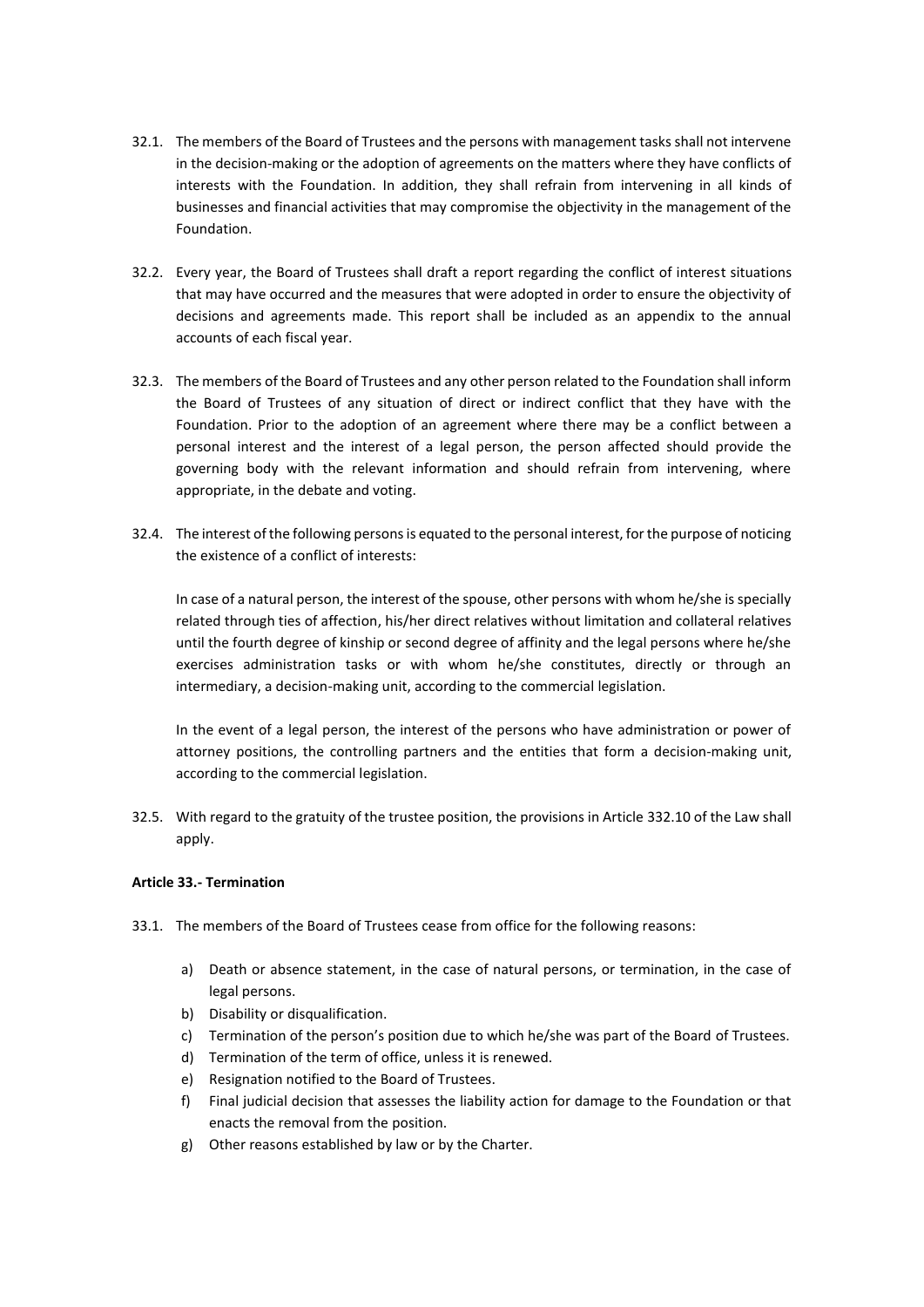- 32.1. The members of the Board of Trustees and the persons with management tasks shall not intervene in the decision-making or the adoption of agreements on the matters where they have conflicts of interests with the Foundation. In addition, they shall refrain from intervening in all kinds of businesses and financial activities that may compromise the objectivity in the management of the Foundation.
- 32.2. Every year, the Board of Trustees shall draft a report regarding the conflict of interest situations that may have occurred and the measures that were adopted in order to ensure the objectivity of decisions and agreements made. This report shall be included as an appendix to the annual accounts of each fiscal year.
- 32.3. The members of the Board of Trustees and any other person related to the Foundation shall inform the Board of Trustees of any situation of direct or indirect conflict that they have with the Foundation. Prior to the adoption of an agreement where there may be a conflict between a personal interest and the interest of a legal person, the person affected should provide the governing body with the relevant information and should refrain from intervening, where appropriate, in the debate and voting.
- 32.4. The interest of the following persons is equated to the personal interest, for the purpose of noticing the existence of a conflict of interests:

In case of a natural person, the interest of the spouse, other persons with whom he/she is specially related through ties of affection, his/her direct relatives without limitation and collateral relatives until the fourth degree of kinship or second degree of affinity and the legal persons where he/she exercises administration tasks or with whom he/she constitutes, directly or through an intermediary, a decision-making unit, according to the commercial legislation.

In the event of a legal person, the interest of the persons who have administration or power of attorney positions, the controlling partners and the entities that form a decision-making unit, according to the commercial legislation.

32.5. With regard to the gratuity of the trustee position, the provisions in Article 332.10 of the Law shall apply.

# **Article 33.- Termination**

- 33.1. The members of the Board of Trustees cease from office for the following reasons:
	- a) Death or absence statement, in the case of natural persons, or termination, in the case of legal persons.
	- b) Disability or disqualification.
	- c) Termination of the person's position due to which he/she was part of the Board of Trustees.
	- d) Termination of the term of office, unless it is renewed.
	- e) Resignation notified to the Board of Trustees.
	- f) Final judicial decision that assesses the liability action for damage to the Foundation or that enacts the removal from the position.
	- g) Other reasons established by law or by the Charter.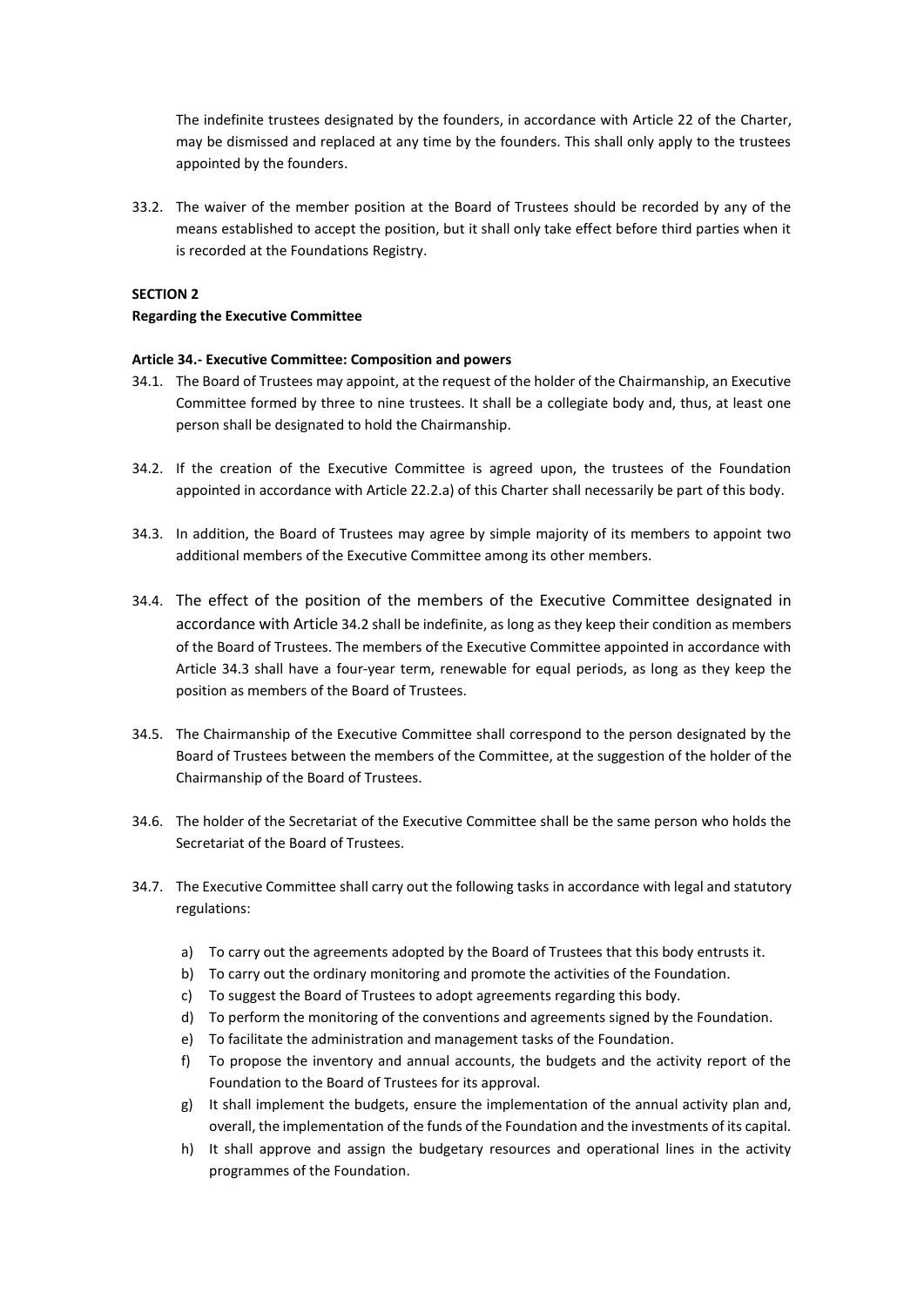The indefinite trustees designated by the founders, in accordance with Article 22 of the Charter, may be dismissed and replaced at any time by the founders. This shall only apply to the trustees appointed by the founders.

33.2. The waiver of the member position at the Board of Trustees should be recorded by any of the means established to accept the position, but it shall only take effect before third parties when it is recorded at the Foundations Registry.

# **SECTION 2**

# **Regarding the Executive Committee**

# **Article 34.- Executive Committee: Composition and powers**

- 34.1. The Board of Trustees may appoint, at the request of the holder of the Chairmanship, an Executive Committee formed by three to nine trustees. It shall be a collegiate body and, thus, at least one person shall be designated to hold the Chairmanship.
- <span id="page-15-0"></span>34.2. If the creation of the Executive Committee is agreed upon, the trustees of the Foundation appointed in accordance with Article 22.2.a) of this Charter shall necessarily be part of this body.
- <span id="page-15-1"></span>34.3. In addition, the Board of Trustees may agree by simple majority of its members to appoint two additional members of the Executive Committee among its other members.
- 34.4. The effect of the position of the members of the Executive Committee designated in accordance with Article [34.2](#page-15-0) shall be indefinite, as long as they keep their condition as members of the Board of Trustees. The members of the Executive Committee appointed in accordance with Article [34.3](#page-15-1) shall have a four-year term, renewable for equal periods, as long as they keep the position as members of the Board of Trustees.
- 34.5. The Chairmanship of the Executive Committee shall correspond to the person designated by the Board of Trustees between the members of the Committee, at the suggestion of the holder of the Chairmanship of the Board of Trustees.
- 34.6. The holder of the Secretariat of the Executive Committee shall be the same person who holds the Secretariat of the Board of Trustees.
- 34.7. The Executive Committee shall carry out the following tasks in accordance with legal and statutory regulations:
	- a) To carry out the agreements adopted by the Board of Trustees that this body entrusts it.
	- b) To carry out the ordinary monitoring and promote the activities of the Foundation.
	- c) To suggest the Board of Trustees to adopt agreements regarding this body.
	- d) To perform the monitoring of the conventions and agreements signed by the Foundation.
	- e) To facilitate the administration and management tasks of the Foundation.
	- f) To propose the inventory and annual accounts, the budgets and the activity report of the Foundation to the Board of Trustees for its approval.
	- g) It shall implement the budgets, ensure the implementation of the annual activity plan and, overall, the implementation of the funds of the Foundation and the investments of its capital.
	- h) It shall approve and assign the budgetary resources and operational lines in the activity programmes of the Foundation.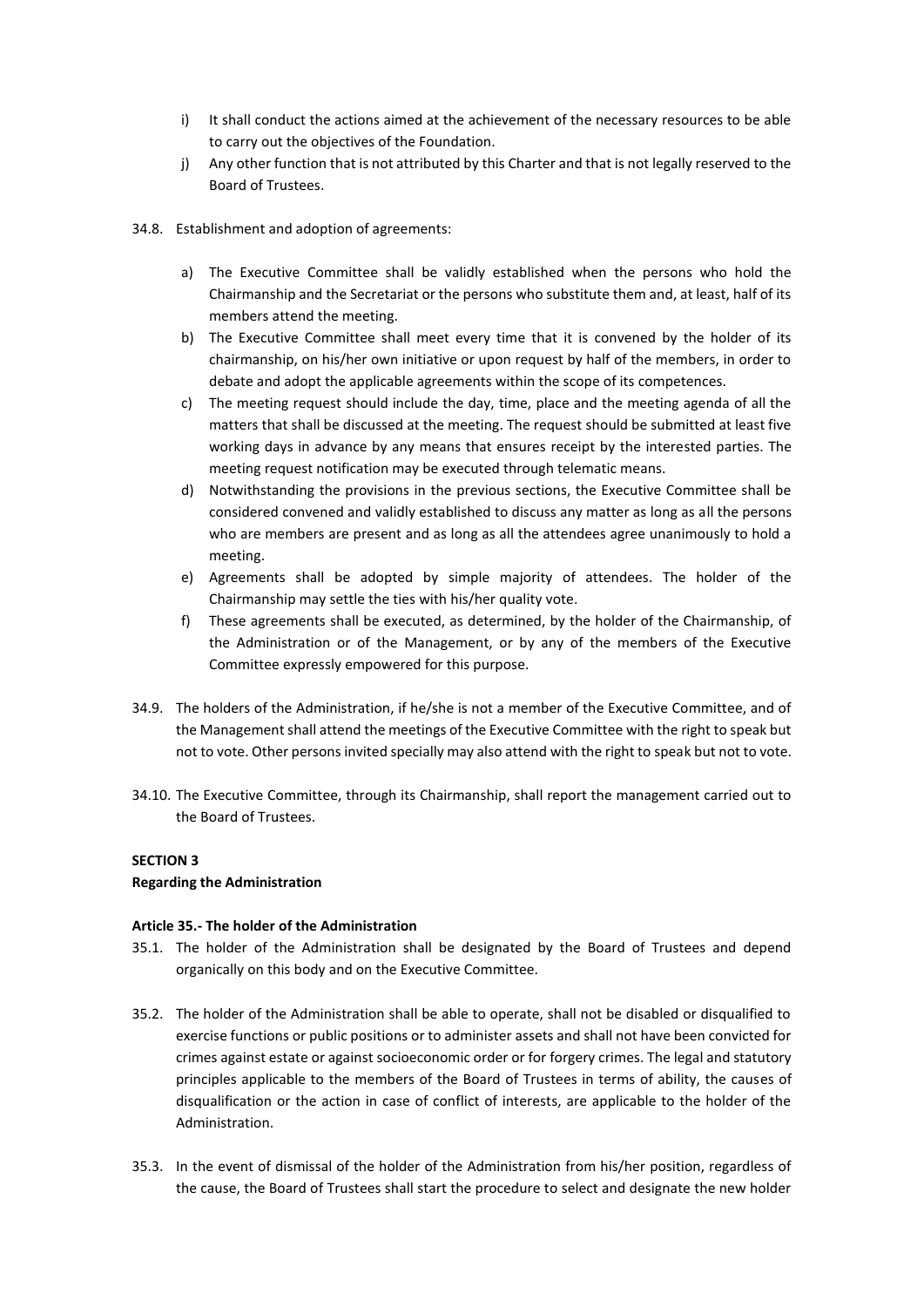- i) It shall conduct the actions aimed at the achievement of the necessary resources to be able to carry out the objectives of the Foundation.
- j) Any other function that is not attributed by this Charter and that is not legally reserved to the Board of Trustees.
- 34.8. Establishment and adoption of agreements:
	- a) The Executive Committee shall be validly established when the persons who hold the Chairmanship and the Secretariat or the persons who substitute them and, at least, half of its members attend the meeting.
	- b) The Executive Committee shall meet every time that it is convened by the holder of its chairmanship, on his/her own initiative or upon request by half of the members, in order to debate and adopt the applicable agreements within the scope of its competences.
	- c) The meeting request should include the day, time, place and the meeting agenda of all the matters that shall be discussed at the meeting. The request should be submitted at least five working days in advance by any means that ensures receipt by the interested parties. The meeting request notification may be executed through telematic means.
	- d) Notwithstanding the provisions in the previous sections, the Executive Committee shall be considered convened and validly established to discuss any matter as long as all the persons who are members are present and as long as all the attendees agree unanimously to hold a meeting.
	- e) Agreements shall be adopted by simple majority of attendees. The holder of the Chairmanship may settle the ties with his/her quality vote.
	- f) These agreements shall be executed, as determined, by the holder of the Chairmanship, of the Administration or of the Management, or by any of the members of the Executive Committee expressly empowered for this purpose.
- 34.9. The holders of the Administration, if he/she is not a member of the Executive Committee, and of the Management shall attend the meetings of the Executive Committee with the right to speak but not to vote. Other persons invited specially may also attend with the right to speak but not to vote.
- 34.10. The Executive Committee, through its Chairmanship, shall report the management carried out to the Board of Trustees.

# **SECTION 3**

# **Regarding the Administration**

# **Article 35.- The holder of the Administration**

- 35.1. The holder of the Administration shall be designated by the Board of Trustees and depend organically on this body and on the Executive Committee.
- 35.2. The holder of the Administration shall be able to operate, shall not be disabled or disqualified to exercise functions or public positions or to administer assets and shall not have been convicted for crimes against estate or against socioeconomic order or for forgery crimes. The legal and statutory principles applicable to the members of the Board of Trustees in terms of ability, the causes of disqualification or the action in case of conflict of interests, are applicable to the holder of the Administration.
- 35.3. In the event of dismissal of the holder of the Administration from his/her position, regardless of the cause, the Board of Trustees shall start the procedure to select and designate the new holder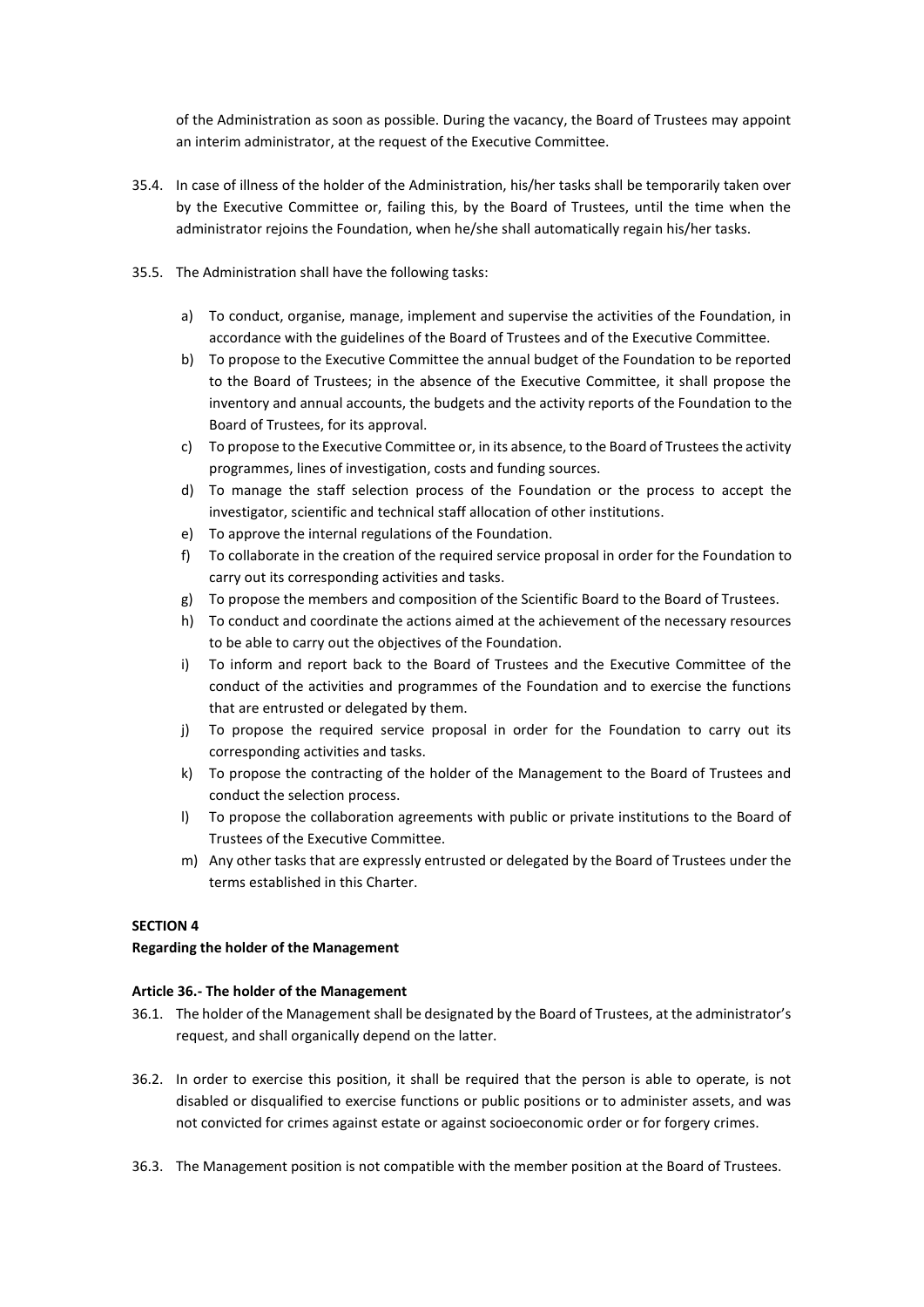of the Administration as soon as possible. During the vacancy, the Board of Trustees may appoint an interim administrator, at the request of the Executive Committee.

- 35.4. In case of illness of the holder of the Administration, his/her tasks shall be temporarily taken over by the Executive Committee or, failing this, by the Board of Trustees, until the time when the administrator rejoins the Foundation, when he/she shall automatically regain his/her tasks.
- 35.5. The Administration shall have the following tasks:
	- a) To conduct, organise, manage, implement and supervise the activities of the Foundation, in accordance with the guidelines of the Board of Trustees and of the Executive Committee.
	- b) To propose to the Executive Committee the annual budget of the Foundation to be reported to the Board of Trustees; in the absence of the Executive Committee, it shall propose the inventory and annual accounts, the budgets and the activity reports of the Foundation to the Board of Trustees, for its approval.
	- c) To propose to the Executive Committee or, in its absence, to the Board of Trustees the activity programmes, lines of investigation, costs and funding sources.
	- d) To manage the staff selection process of the Foundation or the process to accept the investigator, scientific and technical staff allocation of other institutions.
	- e) To approve the internal regulations of the Foundation.
	- f) To collaborate in the creation of the required service proposal in order for the Foundation to carry out its corresponding activities and tasks.
	- g) To propose the members and composition of the Scientific Board to the Board of Trustees.
	- h) To conduct and coordinate the actions aimed at the achievement of the necessary resources to be able to carry out the objectives of the Foundation.
	- i) To inform and report back to the Board of Trustees and the Executive Committee of the conduct of the activities and programmes of the Foundation and to exercise the functions that are entrusted or delegated by them.
	- j) To propose the required service proposal in order for the Foundation to carry out its corresponding activities and tasks.
	- k) To propose the contracting of the holder of the Management to the Board of Trustees and conduct the selection process.
	- l) To propose the collaboration agreements with public or private institutions to the Board of Trustees of the Executive Committee.
	- m) Any other tasks that are expressly entrusted or delegated by the Board of Trustees under the terms established in this Charter.

# **SECTION 4**

# **Regarding the holder of the Management**

# **Article 36.- The holder of the Management**

- 36.1. The holder of the Management shall be designated by the Board of Trustees, at the administrator's request, and shall organically depend on the latter.
- 36.2. In order to exercise this position, it shall be required that the person is able to operate, is not disabled or disqualified to exercise functions or public positions or to administer assets, and was not convicted for crimes against estate or against socioeconomic order or for forgery crimes.
- 36.3. The Management position is not compatible with the member position at the Board of Trustees.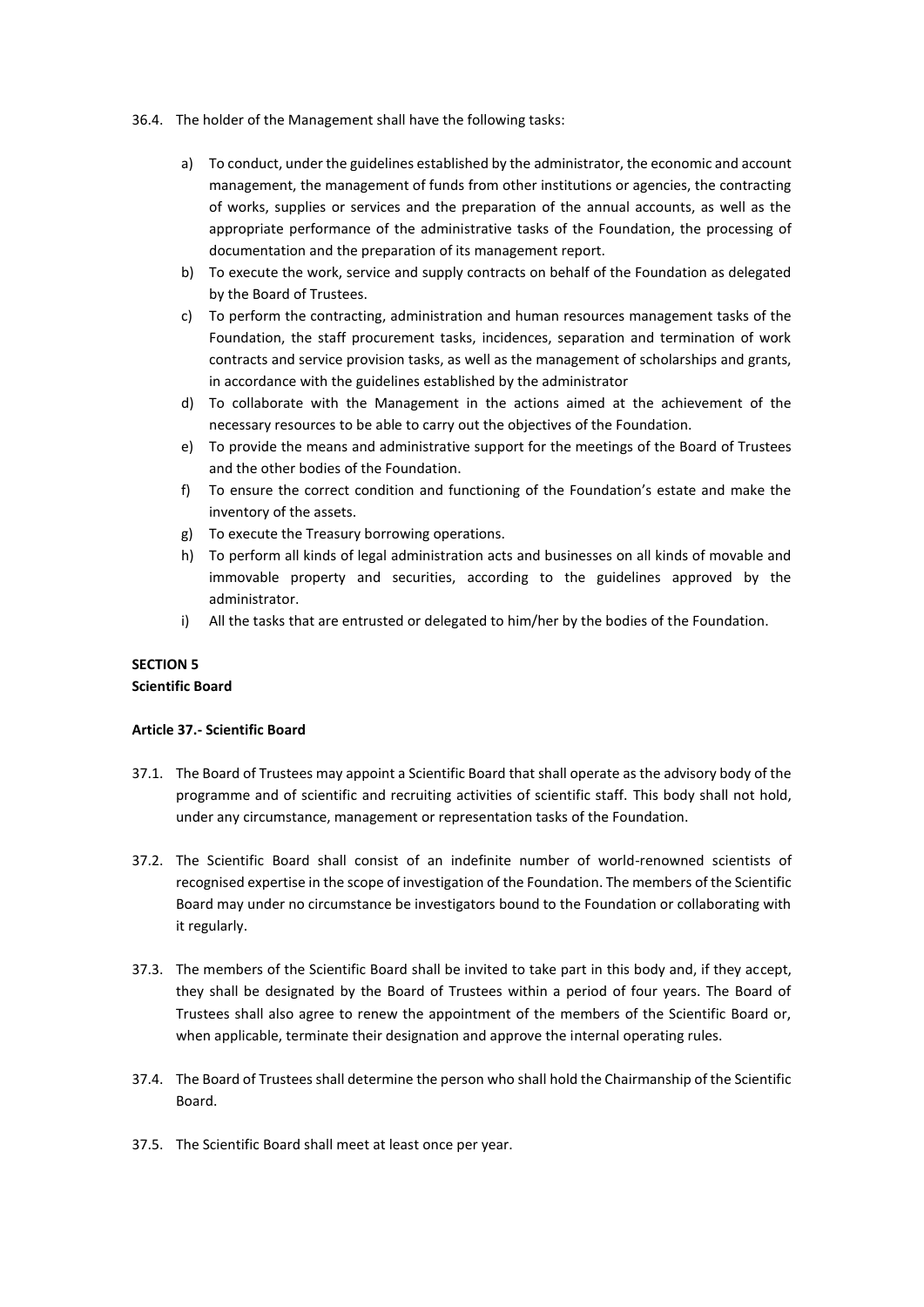- 36.4. The holder of the Management shall have the following tasks:
	- a) To conduct, under the guidelines established by the administrator, the economic and account management, the management of funds from other institutions or agencies, the contracting of works, supplies or services and the preparation of the annual accounts, as well as the appropriate performance of the administrative tasks of the Foundation, the processing of documentation and the preparation of its management report.
	- b) To execute the work, service and supply contracts on behalf of the Foundation as delegated by the Board of Trustees.
	- c) To perform the contracting, administration and human resources management tasks of the Foundation, the staff procurement tasks, incidences, separation and termination of work contracts and service provision tasks, as well as the management of scholarships and grants, in accordance with the guidelines established by the administrator
	- d) To collaborate with the Management in the actions aimed at the achievement of the necessary resources to be able to carry out the objectives of the Foundation.
	- e) To provide the means and administrative support for the meetings of the Board of Trustees and the other bodies of the Foundation.
	- f) To ensure the correct condition and functioning of the Foundation's estate and make the inventory of the assets.
	- g) To execute the Treasury borrowing operations.
	- h) To perform all kinds of legal administration acts and businesses on all kinds of movable and immovable property and securities, according to the guidelines approved by the administrator.
	- i) All the tasks that are entrusted or delegated to him/her by the bodies of the Foundation.

# **SECTION 5 Scientific Board**

# **Article 37.- Scientific Board**

- 37.1. The Board of Trustees may appoint a Scientific Board that shall operate as the advisory body of the programme and of scientific and recruiting activities of scientific staff. This body shall not hold, under any circumstance, management or representation tasks of the Foundation.
- 37.2. The Scientific Board shall consist of an indefinite number of world-renowned scientists of recognised expertise in the scope of investigation of the Foundation. The members of the Scientific Board may under no circumstance be investigators bound to the Foundation or collaborating with it regularly.
- 37.3. The members of the Scientific Board shall be invited to take part in this body and, if they accept, they shall be designated by the Board of Trustees within a period of four years. The Board of Trustees shall also agree to renew the appointment of the members of the Scientific Board or, when applicable, terminate their designation and approve the internal operating rules.
- 37.4. The Board of Trustees shall determine the person who shall hold the Chairmanship of the Scientific Board.
- 37.5. The Scientific Board shall meet at least once per year.